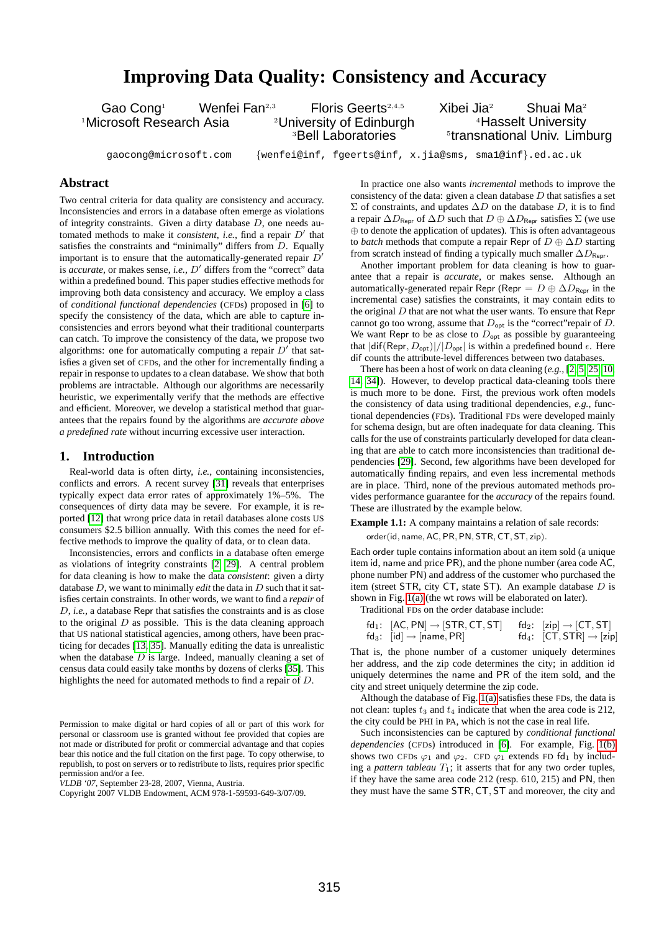# **Improving Data Quality: Consistency and Accuracy**

Gao Cong<sup>1</sup> Menfei Fan<sup>2,3</sup> Floris Geerts<sup>2,4,5</sup> Xibei Jia<sup>2</sup> Shuai Ma<sup>2</sup> <sup>1</sup>Microsoft Research Asia <sup>2</sup>University of Edinburgh

<sup>3</sup>Bell Laboratories

<sup>4</sup>Hasselt University **<sup>5</sup>transnational Univ. Limburg** 

gaocong@microsoft.com {wenfei@inf, fgeerts@inf, x.jia@sms, sma1@inf}.ed.ac.uk

# **Abstract**

Two central criteria for data quality are consistency and accuracy. Inconsistencies and errors in a database often emerge as violations of integrity constraints. Given a dirty database D, one needs automated methods to make it *consistent*, *i.e.*, find a repair D' that satisfies the constraints and "minimally" differs from D. Equally important is to ensure that the automatically-generated repair  $D'$ is *accurate*, or makes sense, *i.e.*, D' differs from the "correct" data within a predefined bound. This paper studies effective methods for improving both data consistency and accuracy. We employ a class of *conditional functional dependencies* (CFDs) proposed in [\[6\]](#page-11-0) to specify the consistency of the data, which are able to capture inconsistencies and errors beyond what their traditional counterparts can catch. To improve the consistency of the data, we propose two algorithms: one for automatically computing a repair  $D'$  that satisfies a given set of CFDs, and the other for incrementally finding a repair in response to updates to a clean database. We show that both problems are intractable. Although our algorithms are necessarily heuristic, we experimentally verify that the methods are effective and efficient. Moreover, we develop a statistical method that guarantees that the repairs found by the algorithms are *accurate above a predefined rate* without incurring excessive user interaction.

# **1. Introduction**

Real-world data is often dirty, *i.e.,* containing inconsistencies, conflicts and errors. A recent survey [\[31\]](#page-11-1) reveals that enterprises typically expect data error rates of approximately 1%–5%. The consequences of dirty data may be severe. For example, it is reported [\[12\]](#page-11-2) that wrong price data in retail databases alone costs US consumers \$2.5 billion annually. With this comes the need for effective methods to improve the quality of data, or to clean data.

Inconsistencies, errors and conflicts in a database often emerge as violations of integrity constraints [\[2,](#page-11-3) [29\]](#page-11-4). A central problem for data cleaning is how to make the data *consistent*: given a dirty database D, we want to minimally *edit* the data in D such that it satisfies certain constraints. In other words, we want to find a *repair* of D, *i.e.,* a database Repr that satisfies the constraints and is as close to the original  $D$  as possible. This is the data cleaning approach that US national statistical agencies, among others, have been practicing for decades [\[13,](#page-11-5) [35\]](#page-11-6). Manually editing the data is unrealistic when the database  $D$  is large. Indeed, manually cleaning a set of census data could easily take months by dozens of clerks [\[35\]](#page-11-6). This highlights the need for automated methods to find a repair of D.

*VLDB '07,* September 23-28, 2007, Vienna, Austria.

In practice one also wants *incremental* methods to improve the consistency of the data: given a clean database  $D$  that satisfies a set  $\Sigma$  of constraints, and updates  $\Delta D$  on the database D, it is to find a repair  $\Delta D_{\text{Repr}}$  of  $\Delta D$  such that  $D \oplus \Delta D_{\text{Repr}}$  satisfies  $\Sigma$  (we use ⊕ to denote the application of updates). This is often advantageous to *batch* methods that compute a repair Repr of D ⊕ ∆D starting from scratch instead of finding a typically much smaller  $\Delta D_{\text{Repr}}$ .

Another important problem for data cleaning is how to guarantee that a repair is *accurate*, or makes sense. Although an automatically-generated repair Repr (Repr =  $D \oplus \Delta D_{\text{Repr}}$  in the incremental case) satisfies the constraints, it may contain edits to the original  $D$  that are not what the user wants. To ensure that Repr cannot go too wrong, assume that  $D_{\text{opt}}$  is the "correct" repair of D. We want Repr to be as close to  $D_{\text{opt}}$  as possible by guaranteeing that  $|diff(\mathsf{Repr}, D_{\text{opt}})|/|D_{\text{opt}}|$  is within a predefined bound  $\epsilon$ . Here dif counts the attribute-level differences between two databases.

There has been a host of work on data cleaning (*e.g.,* [\[2,](#page-11-3) [5,](#page-11-7) [25,](#page-11-8) [10,](#page-11-9) [14,](#page-11-10) [34\]](#page-11-11)). However, to develop practical data-cleaning tools there is much more to be done. First, the previous work often models the consistency of data using traditional dependencies, *e.g.,* functional dependencies (FDs). Traditional FDs were developed mainly for schema design, but are often inadequate for data cleaning. This calls for the use of constraints particularly developed for data cleaning that are able to catch more inconsistencies than traditional dependencies [\[29\]](#page-11-4). Second, few algorithms have been developed for automatically finding repairs, and even less incremental methods are in place. Third, none of the previous automated methods provides performance guarantee for the *accuracy* of the repairs found. These are illustrated by the example below.

<span id="page-0-0"></span>**Example 1.1:** A company maintains a relation of sale records: order(id, name, AC, PR, PN, STR, CT, ST, zip).

Each order tuple contains information about an item sold (a unique item id, name and price PR), and the phone number (area code AC, phone number PN) and address of the customer who purchased the item (street STR, city CT, state ST). An example database D is shown in Fig. [1\(a\)](#page-1-0) (the wt rows will be elaborated on later).

Traditional FDs on the order database include:

| fd <sub>1</sub> : $[AC, PN] \rightarrow [STR, CT, ST]$ fd <sub>2</sub> : $[zip] \rightarrow [CT, ST]$ |                                                 |
|-------------------------------------------------------------------------------------------------------|-------------------------------------------------|
| fd <sub>3</sub> : [id] $\rightarrow$ [name, PR]                                                       | fd <sub>4</sub> : $[CT, STR] \rightarrow [zip]$ |

That is, the phone number of a customer uniquely determines her address, and the zip code determines the city; in addition id uniquely determines the name and PR of the item sold, and the city and street uniquely determine the zip code.

Although the database of Fig. [1\(a\)](#page-1-0) satisfies these FDs, the data is not clean: tuples  $t_3$  and  $t_4$  indicate that when the area code is 212, the city could be PHI in PA, which is not the case in real life.

Such inconsistencies can be captured by *conditional functional dependencies* (CFDs) introduced in [\[6\]](#page-11-0). For example, Fig. [1\(b\)](#page-1-1) shows two CFDs  $\varphi_1$  and  $\varphi_2$ . CFD  $\varphi_1$  extends FD fd<sub>1</sub> by including a *pattern tableau*  $T_1$ ; it asserts that for any two order tuples, if they have the same area code 212 (resp. 610, 215) and PN, then they must have the same STR, CT, ST and moreover, the city and

Permission to make digital or hard copies of all or part of this work for personal or classroom use is granted without fee provided that copies are not made or distributed for profit or commercial advantage and that copies bear this notice and the full citation on the first page. To copy otherwise, to republish, to post on servers or to redistribute to lists, requires prior specific permission and/or a fee.

Copyright 2007 VLDB Endowment, ACM 978-1-59593-649-3/07/09.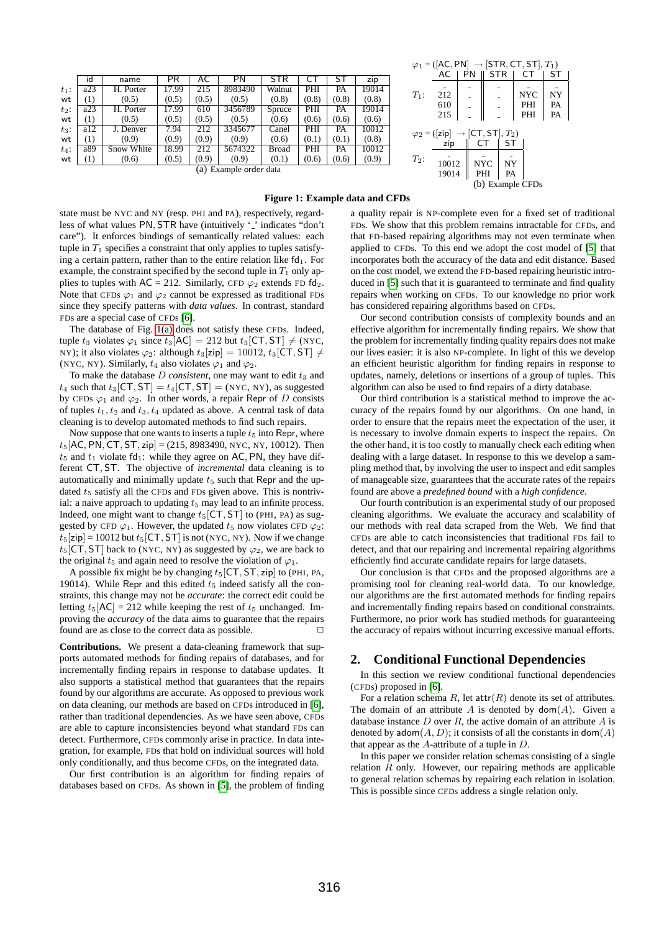<span id="page-1-0"></span>

|                        | id  | name       | PR    | AC    | PN      | STR          |       |       | zip   |
|------------------------|-----|------------|-------|-------|---------|--------------|-------|-------|-------|
| $t_1$ :                | a23 | H. Porter  | 17.99 | 215   | 8983490 | Walnut       | PHI   | PA    | 19014 |
| wt                     | (1) | (0.5)      | (0.5) | (0.5) | (0.5)   | (0.8)        | (0.8) | (0.8) | (0.8) |
| $t_2$ :                | a23 | H. Porter  | 17.99 | 610   | 3456789 | Spruce       | PHI   | PA    | 19014 |
| wt                     | (1) | (0.5)      | (0.5) | (0.5) | (0.5)   | (0.6)        | (0.6) | (0.6) | (0.6) |
| $t_3$ :                | a12 | J. Denver  | 7.94  | 212   | 3345677 | Canel        | PHI   | PA    | 10012 |
| wt                     | (1) | (0.9)      | (0.9) | (0.9) | (0.9)   | (0.6)        | (0.1) | (0.1) | (0.8) |
| $t_4$ :                | a89 | Snow White | 18.99 | 212   | 5674322 | <b>Broad</b> | PHI   | PA    | 10012 |
| wt                     | (1) | (0.6)      | (0.5) | (0.9) | (0.9)   | (0.1)        | (0.6) | (0.6) | (0.9) |
| (a) Evample order data |     |            |       |       |         |              |       |       |       |

(a) Example order data

<span id="page-1-1"></span> $\varphi_1 = ([AC, PN] \rightarrow [STR, CT, ST], T_1)$ <br>AC | PN || STR | CT | ST  $T_1$ : STR  $\begin{array}{c|c|c} 212 & - & - & \text{NYC} & \text{NY} \\ \hline 610 & - & - & \text{PHI} & \text{PA} \end{array}$  $\begin{array}{c|c|c|c|c} 610 & - & - & \text{PHI} & \text{PA} \\ 215 & - & - & \text{PHI} & \text{PA} \end{array}$  $\parallel$   $\parallel$  PHI  $\varphi_2 = ([\mathsf{zip}] \rightarrow [\mathsf{CT}, \mathsf{ST}], T_2)$ <br>  $\mathsf{zip} \parallel \mathsf{CT} \parallel \mathsf{ST}$  $T_2$ :  $zip \parallel C T$  $\begin{array}{c|c|c} 10012 & NYC & NY \ 19014 & PHI & PA \end{array}$ 19014 (b) Example CFDs

## <span id="page-1-2"></span>**Figure 1: Example data and CFDs**

state must be NYC and NY (resp. PHI and PA), respectively, regardless of what values PN, STR have (intuitively '\_' indicates "don't care"). It enforces bindings of semantically related values: each tuple in  $T_1$  specifies a constraint that only applies to tuples satisfying a certain pattern, rather than to the entire relation like  $fd_1$ . For example, the constraint specified by the second tuple in  $T_1$  only applies to tuples with  $AC = 212$ . Similarly, CFD  $\varphi_2$  extends FD fd<sub>2</sub>. Note that CFDs  $\varphi_1$  and  $\varphi_2$  cannot be expressed as traditional FDs since they specify patterns with *data values*. In contrast, standard FDs are a special case of CFDs [\[6\]](#page-11-0).

The database of Fig. [1\(a\)](#page-1-0) does not satisfy these CFDs. Indeed, tuple  $t_3$  violates  $\varphi_1$  since  $t_3$ [AC] = 212 but  $t_3$ [CT, ST]  $\neq$  (NYC, NY); it also violates  $\varphi_2$ : although  $t_3$ [zip] = 10012,  $t_3$ [CT, ST]  $\neq$ (NYC, NY). Similarly,  $t_4$  also violates  $\varphi_1$  and  $\varphi_2$ .

To make the database  $D$  *consistent*, one may want to edit  $t_3$  and  $t_4$  such that  $t_3$ [CT, ST] =  $t_4$ [CT, ST] = (NYC, NY), as suggested by CFDs  $\varphi_1$  and  $\varphi_2$ . In other words, a repair Repr of D consists of tuples  $t_1, t_2$  and  $t_3, t_4$  updated as above. A central task of data cleaning is to develop automated methods to find such repairs.

Now suppose that one wants to inserts a tuple  $t<sub>5</sub>$  into Repr, where  $t_5$ [AC, PN, CT, ST, zip] = (215, 8983490, NYC, NY, 10012). Then  $t_5$  and  $t_1$  violate fd<sub>1</sub>: while they agree on AC, PN, they have different CT, ST. The objective of *incremental* data cleaning is to automatically and minimally update  $t<sub>5</sub>$  such that Repr and the updated  $t<sub>5</sub>$  satisfy all the CFDs and FDs given above. This is nontrivial: a naive approach to updating  $t_5$  may lead to an infinite process. Indeed, one might want to change  $t_5$ [CT, ST] to (PHI, PA) as suggested by CFD  $\varphi_1$ . However, the updated t<sub>5</sub> now violates CFD  $\varphi_2$ :  $t_5$ [zip] = 10012 but  $t_5$ [CT, ST] is not (NYC, NY). Now if we change  $t_5$ [CT, ST] back to (NYC, NY) as suggested by  $\varphi_2$ , we are back to the original  $t_5$  and again need to resolve the violation of  $\varphi_1$ .

A possible fix might be by changing  $t_5$ [CT, ST, zip] to (PHI, PA, 19014). While Repr and this edited  $t_5$  indeed satisfy all the constraints, this change may not be *accurate*: the correct edit could be letting  $t_5[AC] = 212$  while keeping the rest of  $t_5$  unchanged. Improving the *accuracy* of the data aims to guarantee that the repairs found are as close to the correct data as possible.  $\Box$ 

**Contributions.** We present a data-cleaning framework that supports automated methods for finding repairs of databases, and for incrementally finding repairs in response to database updates. It also supports a statistical method that guarantees that the repairs found by our algorithms are accurate. As opposed to previous work on data cleaning, our methods are based on CFDs introduced in [\[6\]](#page-11-0), rather than traditional dependencies. As we have seen above, CFDs are able to capture inconsistencies beyond what standard FDs can detect. Furthermore, CFDs commonly arise in practice. In data integration, for example, FDs that hold on individual sources will hold only conditionally, and thus become CFDs, on the integrated data.

Our first contribution is an algorithm for finding repairs of databases based on CFDs. As shown in [\[5\]](#page-11-7), the problem of finding a quality repair is NP-complete even for a fixed set of traditional FDs. We show that this problem remains intractable for CFDs, and that FD-based repairing algorithms may not even terminate when applied to CFDs. To this end we adopt the cost model of [\[5\]](#page-11-7) that incorporates both the accuracy of the data and edit distance. Based on the cost model, we extend the FD-based repairing heuristic introduced in [\[5\]](#page-11-7) such that it is guaranteed to terminate and find quality repairs when working on CFDs. To our knowledge no prior work has considered repairing algorithms based on CFDs.

Our second contribution consists of complexity bounds and an effective algorithm for incrementally finding repairs. We show that the problem for incrementally finding quality repairs does not make our lives easier: it is also NP-complete. In light of this we develop an efficient heuristic algorithm for finding repairs in response to updates, namely, deletions or insertions of a group of tuples. This algorithm can also be used to find repairs of a dirty database.

Our third contribution is a statistical method to improve the accuracy of the repairs found by our algorithms. On one hand, in order to ensure that the repairs meet the expectation of the user, it is necessary to involve domain experts to inspect the repairs. On the other hand, it is too costly to manually check each editing when dealing with a large dataset. In response to this we develop a sampling method that, by involving the user to inspect and edit samples of manageable size, guarantees that the accurate rates of the repairs found are above a *predefined bound* with a *high confidence*.

Our fourth contribution is an experimental study of our proposed cleaning algorithms. We evaluate the accuracy and scalability of our methods with real data scraped from the Web. We find that CFDs are able to catch inconsistencies that traditional FDs fail to detect, and that our repairing and incremental repairing algorithms efficiently find accurate candidate repairs for large datasets.

Our conclusion is that CFDs and the proposed algorithms are a promising tool for cleaning real-world data. To our knowledge, our algorithms are the first automated methods for finding repairs and incrementally finding repairs based on conditional constraints. Furthermore, no prior work has studied methods for guaranteeing the accuracy of repairs without incurring excessive manual efforts.

# **2. Conditional Functional Dependencies**

In this section we review conditional functional dependencies (CFDs) proposed in [\[6\]](#page-11-0).

For a relation schema R, let  $\text{attr}(R)$  denote its set of attributes. The domain of an attribute A is denoted by  $\text{dom}(A)$ . Given a database instance  $D$  over  $R$ , the active domain of an attribute  $A$  is denoted by  $\mathsf{adom}(A, D)$ ; it consists of all the constants in  $\mathsf{dom}(A)$ that appear as the  $A$ -attribute of a tuple in  $D$ .

In this paper we consider relation schemas consisting of a single relation  $R$  only. However, our repairing methods are applicable to general relation schemas by repairing each relation in isolation. This is possible since CFDs address a single relation only.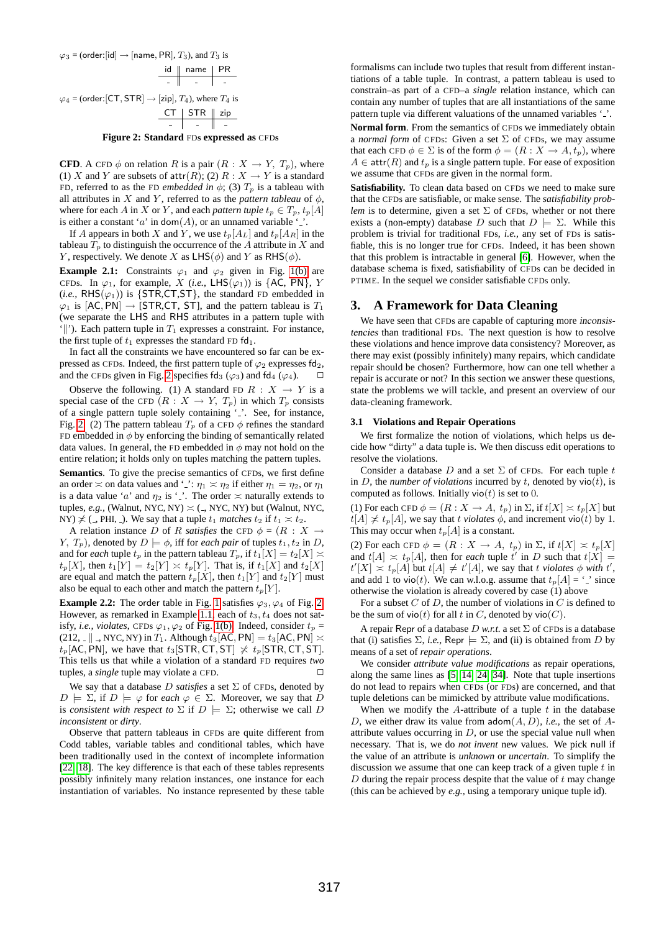

<span id="page-2-0"></span>**Figure 2: Standard** FD**s expressed as** CFD**s**

**CFD**. A CFD  $\phi$  on relation R is a pair  $(R : X \rightarrow Y, T_p)$ , where (1) X and Y are subsets of  $attr(R)$ ; (2)  $R: X \rightarrow Y$  is a standard FD, referred to as the FD *embedded in*  $\phi$ ; (3)  $T_p$  is a tableau with all attributes in X and Y, referred to as the *pattern tableau* of  $\phi$ , where for each A in X or Y, and each *pattern tuple*  $t_p \in T_p$ ,  $t_p[A]$ is either a constant 'a' in dom(A), or an unnamed variable '.

If A appears in both X and Y, we use  $t_p[A_L]$  and  $t_p[A_R]$  in the tableau  $T_p$  to distinguish the occurrence of the A attribute in X and Y, respectively. We denote X as  $LHS(\phi)$  and Y as  $RHS(\phi)$ .

**Example 2.1:** Constraints  $\varphi_1$  and  $\varphi_2$  given in Fig. [1\(b\)](#page-1-1) are CFDs. In  $\varphi_1$ , for example, X (*i.e.*, LHS( $\varphi_1$ )) is {AC, PN}, Y  $(i.e., \, RHS(\varphi_1))$  is {STR,CT,ST}, the standard FD embedded in  $\varphi_1$  is [AC, PN]  $\rightarrow$  [STR, CT, ST], and the pattern tableau is  $T_1$ (we separate the LHS and RHS attributes in a pattern tuple with '||'). Each pattern tuple in  $T_1$  expresses a constraint. For instance, the first tuple of  $t_1$  expresses the standard FD fd<sub>1</sub>.

In fact all the constraints we have encountered so far can be expressed as CFDs. Indeed, the first pattern tuple of  $\varphi_2$  expresses fd<sub>2</sub>, and the CFDs given in Fig. [2](#page-2-0) specifies fd<sub>3</sub> ( $\varphi_3$ ) and fd<sub>4</sub> ( $\varphi_4$ ).  $\Box$ 

Observe the following. (1) A standard FD  $R : X \rightarrow Y$  is a special case of the CFD  $(R : X \rightarrow Y, T_p)$  in which  $T_p$  consists of a single pattern tuple solely containing '...' See, for instance, Fig. [2.](#page-2-0) (2) The pattern tableau  $T_p$  of a CFD  $\phi$  refines the standard FD embedded in  $\phi$  by enforcing the binding of semantically related data values. In general, the FD embedded in  $\phi$  may not hold on the entire relation; it holds only on tuples matching the pattern tuples.

**Semantics**. To give the precise semantics of CFDs, we first define an order  $\asymp$  on data values and '...':  $\eta_1 \asymp \eta_2$  if either  $\eta_1 = \eta_2$ , or  $\eta_1$ is a data value 'a' and  $\eta_2$  is '.'. The order  $\asymp$  naturally extends to tuples,  $e.g.,$  (Walnut, NYC, NY)  $\asymp$  ( $\Box$ , NYC, NY) but (Walnut, NYC, NY)  $\not\preceq$  (., PHI, .). We say that a tuple  $t_1$  *matches*  $t_2$  if  $t_1 \succeq t_2$ .

A relation instance D of R *satisfies* the CFD  $\phi = (R : X)$ Y,  $T_p$ ), denoted by  $D \models \phi$ , iff for *each pair* of tuples  $t_1, t_2$  in D, and for *each* tuple  $t_p$  in the pattern tableau  $T_p$ , if  $t_1[X] = t_2[X] \asymp$  $t_p[X]$ , then  $t_1[Y] = t_2[Y] \asymp t_p[Y]$ . That is, if  $t_1[X]$  and  $t_2[X]$ are equal and match the pattern  $t_p[X]$ , then  $t_1[Y]$  and  $t_2[Y]$  must also be equal to each other and match the pattern  $t_p[Y]$ .

**Example [2.](#page-2-0)2:** The order table in Fig. [1](#page-1-2) satisfies  $\varphi_3$ ,  $\varphi_4$  of Fig. 2. However, as remarked in Example [1.1,](#page-0-0) each of  $t_3$ ,  $t_4$  does not satisfy, *i.e.*, *violates*, CFDs  $\varphi_1, \varphi_2$  of Fig. [1\(b\).](#page-1-1) Indeed, consider  $t_p$  = (212,  $\|$ , NYC, NY) in  $T_1$ . Although  $t_3$ [AC, PN] =  $t_3$ [AC, PN]  $\asymp$  $t_p$ [AC, PN], we have that  $t_3$ [STR, CT, ST]  $\neq t_p$ [STR, CT, ST]. This tells us that while a violation of a standard FD requires *two* tuples, a *single* tuple may violate a CFD.

We say that a database  $D$  *satisfies* a set  $\Sigma$  of CFDs, denoted by  $D \models \Sigma$ , if  $D \models \varphi$  for *each*  $\varphi \in \Sigma$ . Moreover, we say that D is *consistent with respect to*  $\Sigma$  if  $D \models \Sigma$ ; otherwise we call D *inconsistent* or *dirty*.

Observe that pattern tableaus in CFDs are quite different from Codd tables, variable tables and conditional tables, which have been traditionally used in the context of incomplete information [\[22,](#page-11-12) [18\]](#page-11-13). The key difference is that each of these tables represents possibly infinitely many relation instances, one instance for each instantiation of variables. No instance represented by these table

formalisms can include two tuples that result from different instantiations of a table tuple. In contrast, a pattern tableau is used to constrain–as part of a CFD–a *single* relation instance, which can contain any number of tuples that are all instantiations of the same pattern tuple via different valuations of the unnamed variables '.'.

**Normal form**. From the semantics of CFDs we immediately obtain a *normal form* of CFDs: Given a set Σ of CFDs, we may assume that each CFD  $\phi \in \Sigma$  is of the form  $\phi = (R : X \to A, t_p)$ , where  $A \in \text{attr}(R)$  and  $t_p$  is a single pattern tuple. For ease of exposition we assume that CFDs are given in the normal form.

**Satisfiability.** To clean data based on CFDs we need to make sure that the CFDs are satisfiable, or make sense. The *satisfiability problem* is to determine, given a set  $\Sigma$  of CFDs, whether or not there exists a (non-empty) database D such that  $D \models \Sigma$ . While this problem is trivial for traditional FDs, *i.e.,* any set of FDs is satisfiable, this is no longer true for CFDs. Indeed, it has been shown that this problem is intractable in general [\[6\]](#page-11-0). However, when the database schema is fixed, satisfiability of CFDs can be decided in PTIME. In the sequel we consider satisfiable CFDs only.

# **3. A Framework for Data Cleaning**

We have seen that CFDs are capable of capturing more inconsistencies than traditional FDs. The next question is how to resolve these violations and hence improve data consistency? Moreover, as there may exist (possibly infinitely) many repairs, which candidate repair should be chosen? Furthermore, how can one tell whether a repair is accurate or not? In this section we answer these questions, state the problems we will tackle, and present an overview of our data-cleaning framework.

## <span id="page-2-1"></span>**3.1 Violations and Repair Operations**

We first formalize the notion of violations, which helps us decide how "dirty" a data tuple is. We then discuss edit operations to resolve the violations.

Consider a database  $D$  and a set  $\Sigma$  of CFDs. For each tuple  $t$ in D, the *number of violations* incurred by t, denoted by  $\text{vio}(t)$ , is computed as follows. Initially  $vio(t)$  is set to 0.

(1) For each CFD  $\phi = (R : X \to A, t_p)$  in  $\Sigma$ , if  $t[X] \asymp t_p[X]$  but  $t[A] \nless t_p[A]$ , we say that t *violates*  $\phi$ , and increment vio(t) by 1. This may occur when  $t_p[A]$  is a constant.

(2) For each CFD  $\phi = (R : X \to A, t_p)$  in  $\Sigma$ , if  $t[X] \simeq t_p[X]$ and  $t[A] \approx t_p[A]$ , then for *each* tuple t' in D such that  $t[X] =$  $t'[X] \times t_p[A]$  but  $t[A] \neq t'[A]$ , we say that t *violates*  $\phi$  *with* t', and add 1 to vio(t). We can w.l.o.g. assume that  $t_p[A] = \dot{\cdot}$  since otherwise the violation is already covered by case (1) above

For a subset  $C$  of  $D$ , the number of violations in  $C$  is defined to be the sum of vio(t) for all t in C, denoted by vio(C).

A repair Repr of a database  $D$  *w.r.t.* a set  $\Sigma$  of CFDs is a database that (i) satisfies  $\Sigma$ , *i.e.*, Repr  $\models \Sigma$ , and (ii) is obtained from D by means of a set of *repair operations*.

We consider *attribute value modifications* as repair operations, along the same lines as [\[5,](#page-11-7) [14,](#page-11-10) [24,](#page-11-14) [34\]](#page-11-11). Note that tuple insertions do not lead to repairs when CFDs (or FDs) are concerned, and that tuple deletions can be mimicked by attribute value modifications.

When we modify the  $A$ -attribute of a tuple  $t$  in the database D, we either draw its value from  $\text{adom}(A, D)$ , *i.e.*, the set of Aattribute values occurring in  $D$ , or use the special value null when necessary. That is, we do *not invent* new values. We pick null if the value of an attribute is *unknown* or *uncertain*. To simplify the discussion we assume that one can keep track of a given tuple  $t$  in  $D$  during the repair process despite that the value of  $t$  may change (this can be achieved by *e.g.,* using a temporary unique tuple id).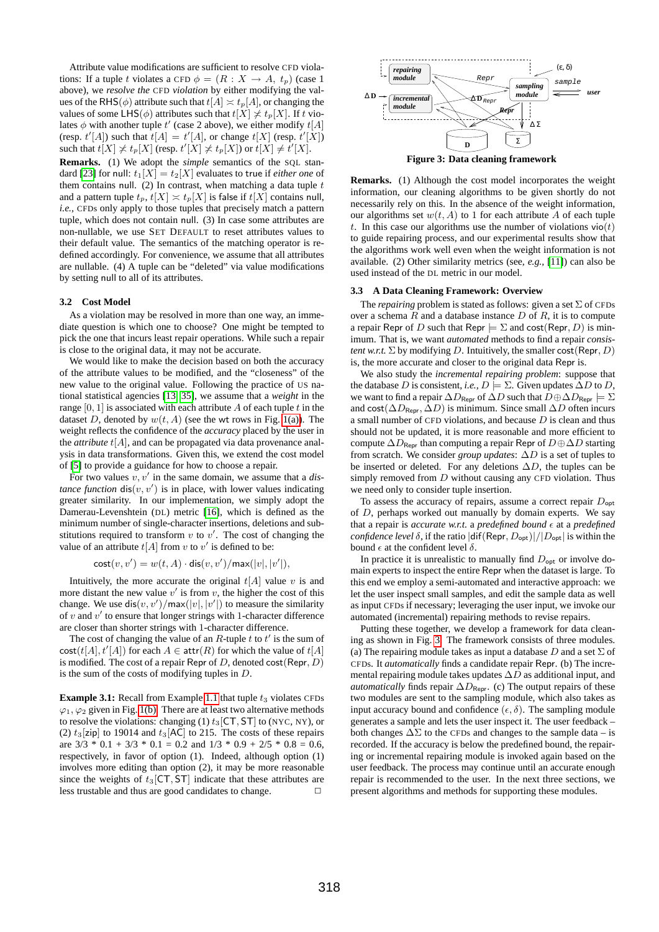Attribute value modifications are sufficient to resolve CFD violations: If a tuple t violates a CFD  $\phi = (R : X \rightarrow A, t_p)$  (case 1) above), we *resolve the* CFD *violation* by either modifying the values of the RHS( $\phi$ ) attribute such that  $t[A] \approx t_p[A]$ , or changing the values of some LHS( $\phi$ ) attributes such that  $t[X] \not\asymp t_p[X]$ . If t violates  $\phi$  with another tuple  $t'$  (case 2 above), we either modify  $t[A]$ (resp.  $t'[A]$ ) such that  $t[A] = t'[A]$ , or change  $t[X]$  (resp.  $t'[X]$ ) such that  $t[X] \not\asymp t_p[X]$  (resp.  $t'[X] \not\asymp t_p[X]$ ) or  $t[X] \neq t'[X]$ .

**Remarks.** (1) We adopt the *simple* semantics of the SQL stan-dard [\[23\]](#page-11-15) for null:  $t_1[X] = t_2[X]$  evaluates to true if *either one* of them contains null. (2) In contrast, when matching a data tuple  $t$ and a pattern tuple  $t_p$ ,  $t[X] \asymp t_p[X]$  is false if  $t[X]$  contains null, *i.e.,* CFDs only apply to those tuples that precisely match a pattern tuple, which does not contain null. (3) In case some attributes are non-nullable, we use SET DEFAULT to reset attributes values to their default value. The semantics of the matching operator is redefined accordingly. For convenience, we assume that all attributes are nullable. (4) A tuple can be "deleted" via value modifications by setting null to all of its attributes.

## <span id="page-3-2"></span>**3.2 Cost Model**

As a violation may be resolved in more than one way, an immediate question is which one to choose? One might be tempted to pick the one that incurs least repair operations. While such a repair is close to the original data, it may not be accurate.

We would like to make the decision based on both the accuracy of the attribute values to be modified, and the "closeness" of the new value to the original value. Following the practice of US national statistical agencies [\[13,](#page-11-5) [35\]](#page-11-6), we assume that a *weight* in the range [0, 1] is associated with each attribute A of each tuple t in the dataset D, denoted by  $w(t, A)$  (see the wt rows in Fig. [1\(a\)\)](#page-1-0). The weight reflects the confidence of the *accuracy* placed by the user in the *attribute*  $t[A]$ , and can be propagated via data provenance analysis in data transformations. Given this, we extend the cost model of [\[5\]](#page-11-7) to provide a guidance for how to choose a repair.

For two values  $v, v'$  in the same domain, we assume that a  $dis$ *tance function*  $dis(v, v')$  is in place, with lower values indicating greater similarity. In our implementation, we simply adopt the Damerau-Levenshtein (DL) metric [\[16\]](#page-11-16), which is defined as the minimum number of single-character insertions, deletions and substitutions required to transform  $v$  to  $v'$ . The cost of changing the value of an attribute  $t[A]$  from v to v' is defined to be:

 $\mathsf{cost}(v, v') = w(t, A) \cdot \mathsf{dis}(v, v') / \mathsf{max}(|v|, |v'|),$ 

Intuitively, the more accurate the original  $t[A]$  value v is and more distant the new value  $v'$  is from  $v$ , the higher the cost of this change. We use  $dis(v, v')/max(|v|, |v'|)$  to measure the similarity of  $v$  and  $v'$  to ensure that longer strings with 1-character difference are closer than shorter strings with 1-character difference.

The cost of changing the value of an  $R$ -tuple  $t$  to  $t'$  is the sum of  $cost(t[A], t'[A])$  for each  $A \in \text{attr}(R)$  for which the value of  $t[A]$ is modified. The cost of a repair Repr of D, denoted cost (Repr,  $D$ ) is the sum of the costs of modifying tuples in  $D$ .

**Example 3.1:** Recall from Example [1.1](#page-0-0) that tuple  $t_3$  violates CFDs  $\varphi_1, \varphi_2$  given in Fig. [1\(b\).](#page-1-1) There are at least two alternative methods to resolve the violations: changing (1)  $t_3$ [CT, ST] to (NYC, NY), or (2)  $t_3$ [zip] to 19014 and  $t_3$ [AC] to 215. The costs of these repairs are  $3/3 * 0.1 + 3/3 * 0.1 = 0.2$  and  $1/3 * 0.9 + 2/5 * 0.8 = 0.6$ , respectively, in favor of option (1). Indeed, although option (1) involves more editing than option (2), it may be more reasonable since the weights of  $t_3$ [CT, ST] indicate that these attributes are less trustable and thus are good candidates to change.  $\Box$ 



<span id="page-3-0"></span>**Figure 3: Data cleaning framework**

**Remarks.** (1) Although the cost model incorporates the weight information, our cleaning algorithms to be given shortly do not necessarily rely on this. In the absence of the weight information, our algorithms set  $w(t, A)$  to 1 for each attribute A of each tuple t. In this case our algorithms use the number of violations  $\text{vio}(t)$ to guide repairing process, and our experimental results show that the algorithms work well even when the weight information is not available. (2) Other similarity metrics (see, *e.g.,* [\[11\]](#page-11-17)) can also be used instead of the DL metric in our model.

### <span id="page-3-1"></span>**3.3 A Data Cleaning Framework: Overview**

The *repairing* problem is stated as follows: given a set  $\Sigma$  of CFDs over a schema  $R$  and a database instance  $D$  of  $R$ , it is to compute a repair Repr of D such that Repr  $\models \Sigma$  and cost(Repr, D) is minimum. That is, we want *automated* methods to find a repair *consistent w.r.t.*  $\Sigma$  by modifying D. Intuitively, the smaller cost (Repr, D) is, the more accurate and closer to the original data Repr is.

We also study the *incremental repairing problem*: suppose that the database D is consistent, *i.e.*,  $D \models \Sigma$ . Given updates  $\Delta D$  to D, we want to find a repair  $\Delta D_{\text{Repr}}$  of  $\Delta D$  such that  $D \oplus \Delta D_{\text{Repr}} \models \Sigma$ and cost( $\Delta D_{\text{Repr}}, \Delta D$ ) is minimum. Since small  $\Delta D$  often incurs a small number of CFD violations, and because  $D$  is clean and thus should not be updated, it is more reasonable and more efficient to compute  $\Delta D_{\text{Repr}}$  than computing a repair Repr of  $D \oplus \Delta D$  starting from scratch. We consider *group updates*: ∆D is a set of tuples to be inserted or deleted. For any deletions  $\Delta D$ , the tuples can be simply removed from  $D$  without causing any CFD violation. Thus we need only to consider tuple insertion.

To assess the accuracy of repairs, assume a correct repair  $D_{\text{opt}}$ of D, perhaps worked out manually by domain experts. We say that a repair is *accurate w.r.t.* a *predefined bound*  $\epsilon$  at a *predefined confidence level*  $\delta$ , if the ratio  $\frac{d}{dt}(Repr, D_{opt})|/|D_{opt}|$  is within the bound  $\epsilon$  at the confident level  $\delta$ .

In practice it is unrealistic to manually find  $D_{\text{opt}}$  or involve domain experts to inspect the entire Repr when the dataset is large. To this end we employ a semi-automated and interactive approach: we let the user inspect small samples, and edit the sample data as well as input CFDs if necessary; leveraging the user input, we invoke our automated (incremental) repairing methods to revise repairs.

Putting these together, we develop a framework for data cleaning as shown in Fig. [3.](#page-3-0) The framework consists of three modules. (a) The repairing module takes as input a database D and a set  $\Sigma$  of CFDs. It *automatically* finds a candidate repair Repr. (b) The incremental repairing module takes updates  $\Delta D$  as additional input, and *automatically* finds repair  $\Delta D_{\text{Repr}}$ . (c) The output repairs of these two modules are sent to the sampling module, which also takes as input accuracy bound and confidence  $(\epsilon, \delta)$ . The sampling module generates a sample and lets the user inspect it. The user feedback – both changes  $\Delta\Sigma$  to the CFDs and changes to the sample data – is recorded. If the accuracy is below the predefined bound, the repairing or incremental repairing module is invoked again based on the user feedback. The process may continue until an accurate enough repair is recommended to the user. In the next three sections, we present algorithms and methods for supporting these modules.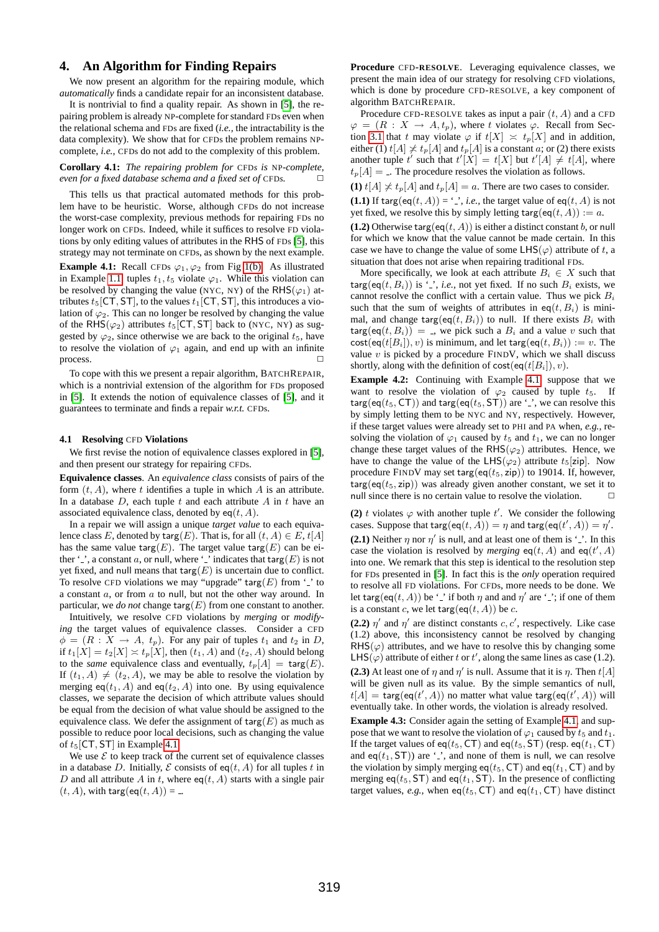# <span id="page-4-4"></span>**4. An Algorithm for Finding Repairs**

We now present an algorithm for the repairing module, which *automatically* finds a candidate repair for an inconsistent database.

It is nontrivial to find a quality repair. As shown in [\[5\]](#page-11-7), the repairing problem is already NP-complete for standard FDs even when the relational schema and FDs are fixed (*i.e.,* the intractability is the data complexity). We show that for CFDs the problem remains NPcomplete, *i.e.,* CFDs do not add to the complexity of this problem.

<span id="page-4-3"></span>**Corollary 4.1:** *The repairing problem for* CFD*s is* NP*-complete, even for a fixed database schema and a fixed set of* CFD*s*. □

This tells us that practical automated methods for this problem have to be heuristic. Worse, although CFDs do not increase the worst-case complexity, previous methods for repairing FDs no longer work on CFDs. Indeed, while it suffices to resolve FD violations by only editing values of attributes in the RHS of FDs [\[5\]](#page-11-7), this strategy may not terminate on CFDs, as shown by the next example.

<span id="page-4-0"></span>**Example 4.1:** Recall CFDs  $\varphi_1, \varphi_2$  from Fig [1\(b\).](#page-1-1) As illustrated in Example [1.1,](#page-0-0) tuples  $t_1, t_5$  violate  $\varphi_1$ . While this violation can be resolved by changing the value (NYC, NY) of the RHS( $\varphi_1$ ) attributes  $t_5$ [CT, ST], to the values  $t_1$ [CT, ST], this introduces a violation of  $\varphi_2$ . This can no longer be resolved by changing the value of the RHS( $\varphi$ <sub>2</sub>) attributes t<sub>5</sub>[CT, ST] back to (NYC, NY) as suggested by  $\varphi_2$ , since otherwise we are back to the original  $t_5$ , have to resolve the violation of  $\varphi_1$  again, and end up with an infinite process.

To cope with this we present a repair algorithm, BATCHREPAIR, which is a nontrivial extension of the algorithm for FDs proposed in [\[5\]](#page-11-7). It extends the notion of equivalence classes of [\[5\]](#page-11-7), and it guarantees to terminate and finds a repair *w.r.t.* CFDs.

### <span id="page-4-1"></span>**4.1 Resolving** CFD **Violations**

We first revise the notion of equivalence classes explored in [\[5\]](#page-11-7), and then present our strategy for repairing CFDs.

**Equivalence classes**. An *equivalence class* consists of pairs of the form  $(t, A)$ , where t identifies a tuple in which A is an attribute. In a database  $D$ , each tuple  $t$  and each attribute  $A$  in  $t$  have an associated equivalence class, denoted by  $eq(t, A)$ .

In a repair we will assign a unique *target value* to each equivalence class E, denoted by  $\text{targ}(E)$ . That is, for all  $(t, A) \in E$ ,  $t[A]$ has the same value targ(E). The target value targ(E) can be either ' $\cdot$ ', a constant a, or null, where ' $\cdot$ ' indicates that targ $(E)$  is not yet fixed, and null means that  $\text{targ}(E)$  is uncertain due to conflict. To resolve CFD violations we may "upgrade" targ $(E)$  from '\_' to a constant a, or from a to null, but not the other way around. In particular, we *do not* change  $\text{targ}(E)$  from one constant to another.

Intuitively, we resolve CFD violations by *merging* or *modifying* the target values of equivalence classes. Consider a CFD  $\phi = (R : X \rightarrow A, t_p)$ . For any pair of tuples  $t_1$  and  $t_2$  in D, if  $t_1[X] = t_2[X] \times t_p[X]$ , then  $(t_1, A)$  and  $(t_2, A)$  should belong to the *same* equivalence class and eventually,  $t_p[A] = \text{targ}(E)$ . If  $(t_1, A) \neq (t_2, A)$ , we may be able to resolve the violation by merging eq( $t_1$ , A) and eq( $t_2$ , A) into one. By using equivalence classes, we separate the decision of which attribute values should be equal from the decision of what value should be assigned to the equivalence class. We defer the assignment of  $\text{targ}(E)$  as much as possible to reduce poor local decisions, such as changing the value of  $t_5$ [CT, ST] in Example [4.1.](#page-4-0)

We use  $\mathcal E$  to keep track of the current set of equivalence classes in a database D. Initially,  $\mathcal E$  consists of eq(t, A) for all tuples t in D and all attribute A in t, where  $eq(t, A)$  starts with a single pair  $(t, A)$ , with targ $(eq(t, A)) =$ ...

**Procedure** CFD**-RESOLVE**. Leveraging equivalence classes, we present the main idea of our strategy for resolving CFD violations, which is done by procedure CFD-RESOLVE, a key component of algorithm BATCHREPAIR.

Procedure CFD-RESOLVE takes as input a pair  $(t, A)$  and a CFD  $\varphi = (R : X \to A, t_p)$ , where t violates  $\varphi$ . Recall from Sec-tion [3.1](#page-2-1) that t may violate  $\varphi$  if  $t[X] \approx t_p[X]$  and in addition, either (1)  $t[A] \not\asymp t_p[A]$  and  $t_p[A]$  is a constant a; or (2) there exists another tuple t' such that  $t'[X] = t[X]$  but  $t'[A] \neq t[A]$ , where  $t_p[A] =$ . The procedure resolves the violation as follows. **(1)**  $t[A] \nless t_p[A]$  and  $t_p[A] = a$ . There are two cases to consider.

**(1.1)** If targ(eq(t, A)) = '', *i.e.*, the target value of eq(t, A) is not yet fixed, we resolve this by simply letting targ(eq(t, A)) := a. **(1.2)** Otherwise targ(eq(t, A)) is either a distinct constant b, or null for which we know that the value cannot be made certain. In this case we have to change the value of some  $LHS(\varphi)$  attribute of t, a situation that does not arise when repairing traditional FDs.

More specifically, we look at each attribute  $B_i \in X$  such that  $\textsf{targ}(\textsf{eq}(t, B_i))$  is '.', *i.e.*, not yet fixed. If no such  $B_i$  exists, we cannot resolve the conflict with a certain value. Thus we pick  $B_i$ such that the sum of weights of attributes in eq(t,  $B_i$ ) is minimal, and change targ(eq(t,  $B_i$ )) to null. If there exists  $B_i$  with  $\text{targ}(eq(t, B_i)) =$ . we pick such a  $B_i$  and a value v such that  $cost(eq(t[B_i]), v)$  is minimum, and let targ(eq(t,  $B_i$ )) := v. The value  $v$  is picked by a procedure FINDV, which we shall discuss shortly, along with the definition of  $cost(eq(t|B_i|), v)$ .

<span id="page-4-2"></span>**Example 4.2:** Continuing with Example [4.1,](#page-4-0) suppose that we want to resolve the violation of  $\varphi_2$  caused by tuple  $t_5$ . If targ(eq( $t_5$ , CT)) and targ(eq( $t_5$ , ST)) are '.', we can resolve this by simply letting them to be NYC and NY, respectively. However, if these target values were already set to PHI and PA when, *e.g.,* resolving the violation of  $\varphi_1$  caused by  $t_5$  and  $t_1$ , we can no longer change these target values of the RHS( $\varphi$ <sub>2</sub>) attributes. Hence, we have to change the value of the LHS( $\varphi$ <sub>2</sub>) attribute t<sub>5</sub>[zip]. Now procedure FINDV may set targ(eq( $t_5$ , zip)) to 19014. If, however,  $\text{targ}(\text{eq}(t_5, \text{zip}))$  was already given another constant, we set it to null since there is no certain value to resolve the violation.

**(2)** t violates  $\varphi$  with another tuple t'. We consider the following cases. Suppose that  $\textsf{targ}(\textsf{eq}(t, A)) = \eta$  and  $\textsf{targ}(\textsf{eq}(t', A)) = \eta'.$ **(2.1)** Neither  $\eta$  nor  $\eta'$  is null, and at least one of them is '.'. In this case the violation is resolved by *merging* eq(*t*, *A*) and eq(*t'*, *A*) into one. We remark that this step is identical to the resolution step for FDs presented in [\[5\]](#page-11-7). In fact this is the *only* operation required to resolve all FD violations. For CFDs, more needs to be done. We let targ(eq(t, A)) be '.' if both  $\eta$  and and  $\eta'$  are '.'; if one of them is a constant c, we let targ(eq(t, A)) be c.

**(2.2)**  $\eta'$  and  $\eta'$  are distinct constants c, c', respectively. Like case (1.2) above, this inconsistency cannot be resolved by changing  $RHS(\varphi)$  attributes, and we have to resolve this by changing some LHS( $\varphi$ ) attribute of either t or t', along the same lines as case (1.2). **(2.3)** At least one of  $\eta$  and  $\eta'$  is null. Assume that it is  $\eta$ . Then  $t[A]$ will be given null as its value. By the simple semantics of null,  $t[A] = \text{targ}(\text{eq}(t', A))$  no matter what value  $\text{targ}(\text{eq}(t', A))$  will eventually take. In other words, the violation is already resolved.

**Example 4.3:** Consider again the setting of Example [4.1,](#page-4-0) and suppose that we want to resolve the violation of  $\varphi_1$  caused by  $t_5$  and  $t_1$ . If the target values of eq( $t_5$ , CT) and eq( $t_5$ , ST) (resp. eq( $t_1$ , CT) and  $eq(t_1, ST)$ ) are '<sub>-</sub>', and none of them is null, we can resolve the violation by simply merging eq( $t_5$ , CT) and eq( $t_1$ , CT) and by merging eq( $t_5$ , ST) and eq( $t_1$ , ST). In the presence of conflicting target values, *e.g.*, when  $eq(t_5, CT)$  and  $eq(t_1, CT)$  have distinct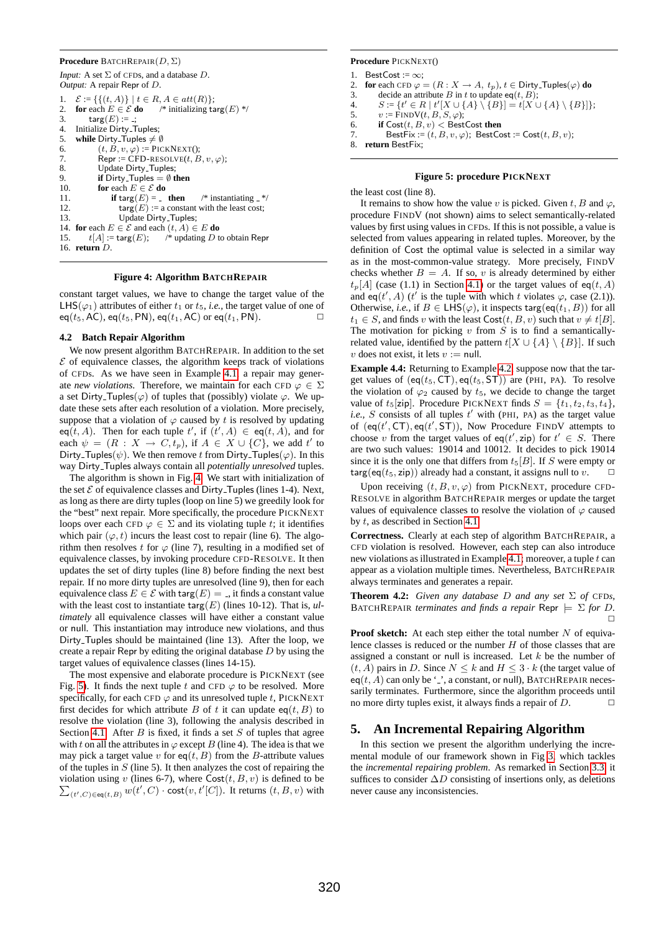#### **Procedure** BATCHREPAIR(D, Σ)

```
Input: A set \Sigma of CFDs, and a database D.
Output: A repair Repr of D.
```

|     | 1. $\mathcal{E} := \{ \{ (t, A) \} \mid t \in R, A \in att(R) \};$         |  |  |  |
|-----|----------------------------------------------------------------------------|--|--|--|
|     | 2. for each $E \in \mathcal{E}$ do $\quad$ * initializing targ(E) */       |  |  |  |
| 3.  | targ $(E) :=$ :                                                            |  |  |  |
|     | 4. Initialize Dirty_Tuples;                                                |  |  |  |
|     | 5. while Dirty_Tuples $\neq \emptyset$                                     |  |  |  |
| 6.  | $(t, B, v, \varphi) :=$ PICKNEXT();                                        |  |  |  |
| 7.  | $\mathsf{Repr} := \mathsf{CFD}\text{-}\mathsf{RESOLVE}(t, B, v, \varphi);$ |  |  |  |
| 8.  | Update Dirty_Tuples:                                                       |  |  |  |
| 9.  | <b>if</b> Dirty_Tuples = $\emptyset$ then                                  |  |  |  |
|     | 10. for each $E \in \mathcal{E}$ do                                        |  |  |  |
| 11. | <b>if</b> targ(E) = _ then $\forall$ instantiating _*/                     |  |  |  |
| 12. | $\textsf{targ}(E) :=$ a constant with the least cost;                      |  |  |  |
| 13. | Update Dirty_Tuples;                                                       |  |  |  |
|     | 14. for each $E \in \mathcal{E}$ and each $(t, A) \in E$ do                |  |  |  |
|     | 15. $t[A] := \text{targ}(E);$ /* updating D to obtain Repr                 |  |  |  |
|     | 16. return $D$ .                                                           |  |  |  |

#### <span id="page-5-0"></span>**Figure 4: Algorithm BATCHREPAIR**

constant target values, we have to change the target value of the LHS( $\varphi_1$ ) attributes of either  $t_1$  or  $t_5$ , *i.e.*, the target value of one of  $eq(t_5, AC), eq(t_5, PN), eq(t_1, AC)$  or  $eq(t_1, PN).$ 

### **4.2 Batch Repair Algorithm**

We now present algorithm BATCHREPAIR. In addition to the set  $\mathcal E$  of equivalence classes, the algorithm keeps track of violations of CFDs. As we have seen in Example [4.1,](#page-4-0) a repair may generate *new violations*. Therefore, we maintain for each CFD  $\varphi \in \Sigma$ a set Dirty\_Tuples( $\varphi$ ) of tuples that (possibly) violate  $\varphi$ . We update these sets after each resolution of a violation. More precisely, suppose that a violation of  $\varphi$  caused by t is resolved by updating  $eq(t, A)$ . Then for each tuple t', if  $(t', A) \in eq(t, A)$ , and for each  $\psi = (R : X \to C, t_p)$ , if  $A \in X \cup \{C\}$ , we add t' to Dirty\_Tuples( $\psi$ ). We then remove t from Dirty\_Tuples( $\varphi$ ). In this way Dirty Tuples always contain all *potentially unresolved* tuples.

The algorithm is shown in Fig. [4.](#page-5-0) We start with initialization of the set  $\mathcal E$  of equivalence classes and Dirty\_Tuples (lines 1-4). Next, as long as there are dirty tuples (loop on line 5) we greedily look for the "best" next repair. More specifically, the procedure PICKNEXT loops over each CFD  $\varphi \in \Sigma$  and its violating tuple t; it identifies which pair  $(\varphi, t)$  incurs the least cost to repair (line 6). The algorithm then resolves t for  $\varphi$  (line 7), resulting in a modified set of equivalence classes, by invoking procedure CFD-RESOLVE. It then updates the set of dirty tuples (line 8) before finding the next best repair. If no more dirty tuples are unresolved (line 9), then for each equivalence class  $E \in \mathcal{E}$  with targ $(E) = 1$ , it finds a constant value with the least cost to instantiate  $\text{targ}(E)$  (lines 10-12). That is, *ultimately* all equivalence classes will have either a constant value or null. This instantiation may introduce new violations, and thus Dirty Tuples should be maintained (line 13). After the loop, we create a repair Repr by editing the original database  $D$  by using the target values of equivalence classes (lines 14-15).

The most expensive and elaborate procedure is PICKNEXT (see Fig. [5\)](#page-5-1). It finds the next tuple t and CFD  $\varphi$  to be resolved. More specifically, for each CFD  $\varphi$  and its unresolved tuple t, PICKNEXT first decides for which attribute B of t it can update  $eq(t, B)$  to resolve the violation (line 3), following the analysis described in Section [4.1.](#page-4-1) After  $B$  is fixed, it finds a set  $S$  of tuples that agree with t on all the attributes in  $\varphi$  except B (line 4). The idea is that we may pick a target value v for  $eq(t, B)$  from the B-attribute values of the tuples in  $S$  (line 5). It then analyzes the cost of repairing the violation using v (lines 6-7), where  $Cost(t, B, v)$  is defined to be  $\sum_{(t', C) \in \mathfrak{so}(t, B)} w(t', C) \cdot \text{cost}(v, t'[C])$ . It returns  $(t, B, v)$  with  $(t',C) \in \mathsf{eq}(t,B)$   $w(t',C) \cdot \mathsf{cost}(v,t'[C])$ . It returns  $(t, B, v)$  with

### **Procedure** PICKNEXT()

- 1. BestCost  $:= \infty$ ;
- 
- 2. **for** each CFD  $\varphi = (R : X \to A, t_p), t \in \text{Dirty-Tuples}(\varphi)$  **do**<br>3. decide an attribute B in t to undate eq(t, B): 3. decide an attribute B in t to update eq(t, B);<br>4.  $S := \{t' \in R \mid t'|X \cup \{A\} \setminus \{B\}| = t|X \cup$
- 4.  $S := \{ t' \in R \mid t' [X \cup \{A\} \setminus \{B\}] = t [X \cup \{A\} \setminus \{B\}] \};$
- 5.  $v := \text{FINDV}(t, B, S, \varphi);$
- 6. **if**  $Cost(t, B, v) <$  BestCost then
- 7. BestFix :=  $(t, B, v, \varphi)$ ; BestCost := Cost $(t, B, v)$ ;

```
8. return BestFix;
```
## <span id="page-5-1"></span>**Figure 5: procedure PICKNEXT**

the least cost (line 8).

It remains to show how the value v is picked. Given t, B and  $\varphi$ , procedure FINDV (not shown) aims to select semantically-related values by first using values in CFDs. If this is not possible, a value is selected from values appearing in related tuples. Moreover, by the definition of Cost the optimal value is selected in a similar way as in the most-common-value strategy. More precisely, FINDV checks whether  $B = A$ . If so, v is already determined by either  $t_p[A]$  (case (1.1) in Section [4.1\)](#page-4-1) or the target values of eq(t, A) and eq(t', A) (t' is the tuple with which t violates  $\varphi$ , case (2.1)). Otherwise, *i.e.*, if  $B \in \mathsf{LHS}(\varphi)$ , it inspects targ(eq(t<sub>1</sub>, B)) for all  $t_1 \in S$ , and finds v with the least  $Cost(t, B, v)$  such that  $v \neq t[B]$ . The motivation for picking  $v$  from  $S$  is to find a semanticallyrelated value, identified by the pattern  $t[X \cup \{A\} \setminus \{B\}]$ . If such v does not exist, it lets  $v := \text{null}$ .

**Example 4.4:** Returning to Example [4.2,](#page-4-2) suppose now that the target values of  $(eq(t_5, \text{CT}), eq(t_5, \text{ST}))$  are (PHI, PA). To resolve the violation of  $\varphi_2$  caused by  $t_5$ , we decide to change the target value of  $t_5$ [zip]. Procedure PICKNEXT finds  $S = \{t_1, t_2, t_3, t_4\}$ ,  $i.e., S$  consists of all tuples  $t'$  with (PHI, PA) as the target value of  $(eq(t', CT), eq(t', ST)),$  Now Procedure FINDV attempts to choose v from the target values of eq(t', zip) for  $t' \in S$ . There are two such values: 19014 and 10012. It decides to pick 19014 since it is the only one that differs from  $t_5[B]$ . If S were empty or  $\text{targ}(eq(t_5, zip))$  already had a constant, it assigns null to v.

Upon receiving  $(t, B, v, \varphi)$  from PICKNEXT, procedure CFD-RESOLVE in algorithm BATCHREPAIR merges or update the target values of equivalence classes to resolve the violation of  $\varphi$  caused by t, as described in Section [4.1.](#page-4-1)

**Correctness.** Clearly at each step of algorithm BATCHREPAIR, a CFD violation is resolved. However, each step can also introduce new violations as illustrated in Example [4.1;](#page-4-0) moreover, a tuple  $t$  can appear as a violation multiple times. Nevertheless, BATCHREPAIR always terminates and generates a repair.

**Theorem 4.2:** *Given any database*  $D$  *and any set*  $\Sigma$  *of* CFD*s,* BATCHREPAIR *terminates and finds a repair* Repr  $\models \Sigma$  for D.  $\Box$ 

**Proof sketch:** At each step either the total number  $N$  of equivalence classes is reduced or the number  $H$  of those classes that are assigned a constant or null is increased. Let  $k$  be the number of  $(t, A)$  pairs in D. Since  $N \leq k$  and  $H \leq 3 \cdot k$  (the target value of  $eq(t, A)$  can only be '\_', a constant, or null), BATCHREPAIR necessarily terminates. Furthermore, since the algorithm proceeds until no more dirty tuples exist, it always finds a repair of  $D$ .  $\Box$ 

# <span id="page-5-2"></span>**5. An Incremental Repairing Algorithm**

In this section we present the algorithm underlying the incremental module of our framework shown in Fig [3,](#page-3-0) which tackles the *incremental repairing problem*. As remarked in Section [3.3,](#page-3-1) it suffices to consider  $\Delta D$  consisting of insertions only, as deletions never cause any inconsistencies.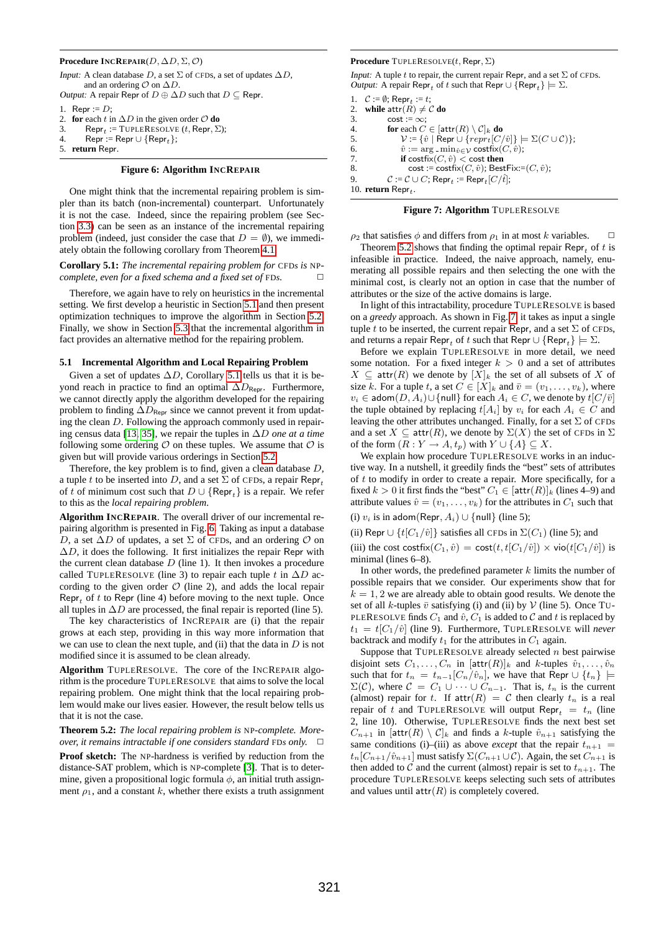#### **Procedure INCREPAIR**(D, ∆D, Σ, O)

```
Input: A clean database D, a set \Sigma of CFDs, a set of updates \Delta D.
       and an ordering O on \Delta D.
Output: A repair Repr of D \oplus \Delta D such that D \subseteq Repr.
1. Repr := D:
```
- 2. **for** each  $t$  in  $\Delta D$  in the given order  $O$  **do**
- 3. Repr<sub>t</sub> := TUPLERESOLVE (*t*, Repr,  $\Sigma$ );
- 4. Repr := Repr  $\cup$  {Repr<sub>t</sub>};

```
5. return Repr.
```
### <span id="page-6-2"></span>**Figure 6: Algorithm INCREPAIR**

One might think that the incremental repairing problem is simpler than its batch (non-incremental) counterpart. Unfortunately it is not the case. Indeed, since the repairing problem (see Section [3.3\)](#page-3-1) can be seen as an instance of the incremental repairing problem (indeed, just consider the case that  $D = \emptyset$ ), we immediately obtain the following corollary from Theorem [4.1.](#page-4-3)

<span id="page-6-1"></span>**Corollary 5.1:** *The incremental repairing problem for* CFD*s is* NP*complete, even for a fixed schema and a fixed set of* FD*s*.  $\Box$ 

Therefore, we again have to rely on heuristics in the incremental setting. We first develop a heuristic in Section [5.1](#page-6-0) and then present optimization techniques to improve the algorithm in Section [5.2.](#page-7-0) Finally, we show in Section [5.3](#page-7-1) that the incremental algorithm in fact provides an alternative method for the repairing problem.

#### <span id="page-6-0"></span>**5.1 Incremental Algorithm and Local Repairing Problem**

Given a set of updates  $\Delta D$ , Corollary [5.1](#page-6-1) tells us that it is beyond reach in practice to find an optimal  $\Delta D_{\text{Repr}}$ . Furthermore, we cannot directly apply the algorithm developed for the repairing problem to finding  $\Delta D_{\text{Repr}}$  since we cannot prevent it from updating the clean D. Following the approach commonly used in repairing census data [\[13,](#page-11-5) [35\]](#page-11-6), we repair the tuples in ∆D *one at a time* following some ordering  $\mathcal O$  on these tuples. We assume that  $\mathcal O$  is given but will provide various orderings in Section [5.2.](#page-7-0)

Therefore, the key problem is to find, given a clean database D, a tuple t to be inserted into D, and a set  $\Sigma$  of CFDs, a repair Repr<sub>t</sub> of t of minimum cost such that  $D \cup \{$ Repr<sub>t</sub> $\}$  is a repair. We refer to this as the *local repairing problem*.

**Algorithm INCREPAIR**. The overall driver of our incremental repairing algorithm is presented in Fig. [6.](#page-6-2) Taking as input a database D, a set  $\Delta D$  of updates, a set  $\Sigma$  of CFDs, and an ordering  $O$  on  $\Delta D$ , it does the following. It first initializes the repair Repr with the current clean database  $D$  (line 1). It then invokes a procedure called TUPLERESOLVE (line 3) to repair each tuple t in  $\Delta D$  according to the given order  $O$  (line 2), and adds the local repair Repr<sub>t</sub> of t to Repr (line 4) before moving to the next tuple. Once all tuples in  $\Delta D$  are processed, the final repair is reported (line 5).

The key characteristics of INCREPAIR are (i) that the repair grows at each step, providing in this way more information that we can use to clean the next tuple, and (ii) that the data in  $D$  is not modified since it is assumed to be clean already.

**Algorithm** TUPLERESOLVE. The core of the INCREPAIR algorithm is the procedure TUPLERESOLVE that aims to solve the local repairing problem. One might think that the local repairing problem would make our lives easier. However, the result below tells us that it is not the case.

<span id="page-6-3"></span>**Theorem 5.2:** *The local repairing problem is* NP*-complete. Moreover, it remains intractable if one considers standard* FD*s only.*  $\Box$ 

**Proof sketch:** The NP-hardness is verified by reduction from the distance-SAT problem, which is NP-complete [\[3\]](#page-11-18). That is to determine, given a propositional logic formula  $\phi$ , an initial truth assignment  $\rho_1$ , and a constant k, whether there exists a truth assignment **Procedure** TUPLERESOLVE(t, Repr, Σ)

*Input:* A tuple t to repair, the current repair Repr, and a set  $\Sigma$  of CFDs. *Output:* A repair  $\text{Repr}_t$  of t such that  $\text{Repr} \cup \{\text{Repr}_t\} \models \Sigma$ .

1.  $C := \emptyset$ ; Repr<sub>t</sub> := t; 2. **while**  $\text{attr}(R) \neq C$  **do**<br>3 **cost**  $:= \infty$  $\cos t := \infty$ ; 4. **for** each  $C \in [\text{attr}(R) \setminus C]_k$  **do**<br>5.  $\mathcal{V} := {\hat{v} | \text{Repr} \cup \{repr_t [C/\} | \text{Imerr}_t \cdot \mathcal{V}_t\}}$  $\mathcal{V} \coloneqq \{ \hat{v} \mid \text{R}e^{\frac{1}{2}} \cup \{repr_t[C/\hat{v}] \} \models \Sigma(C \cup C) \};$ 6.  $\hat{v} := \arg \min_{\hat{v} \in \mathcal{V}} \text{costfix}(C, \hat{v});$ <br>
7. **if** costfix(*C*,  $\hat{v}$ ) < cost then **if** costfix $(C, \hat{v}) <$  cost **then** 8. cost := costfix( $C, \hat{v}$ ); BestFix:= $(C, \hat{v})$ ; 9.  $C := C \cup C$ ; Repr<sub>t</sub> := Repr<sub>t</sub> [ $C/\hat{t}$ ]; 10. **return**  $\text{Repr}_t$ .

<span id="page-6-4"></span>

 $\rho_2$  that satisfies  $\phi$  and differs from  $\rho_1$  in at most k variables.  $\Box$ Theorem [5.2](#page-6-3) shows that finding the optimal repair Repr<sub>t</sub> of t is infeasible in practice. Indeed, the naive approach, namely, enumerating all possible repairs and then selecting the one with the minimal cost, is clearly not an option in case that the number of attributes or the size of the active domains is large.

In light of this intractability, procedure TUPLERESOLVE is based on a *greedy* approach. As shown in Fig. [7,](#page-6-4) it takes as input a single tuple t to be inserted, the current repair Repr, and a set  $\Sigma$  of CFDs, and returns a repair  $\mathsf{Repr}_t$  of t such that  $\mathsf{Repr} \cup \{\mathsf{Repr}_t\} \models \Sigma$ .

Before we explain TUPLERESOLVE in more detail, we need some notation. For a fixed integer  $k > 0$  and a set of attributes  $X \subseteq \text{attr}(R)$  we denote by  $[X]_k$  the set of all subsets of X of size k. For a tuple t, a set  $C \in |X|_k$  and  $\overline{v} = (v_1, \ldots, v_k)$ , where  $v_i \in \text{adom}(D, A_i) \cup \{\text{null}\}\$ for each  $A_i \in C$ , we denote by  $t[C/\bar{v}]$ the tuple obtained by replacing  $t[A_i]$  by  $v_i$  for each  $A_i \in C$  and leaving the other attributes unchanged. Finally, for a set  $\Sigma$  of CFDs and a set  $X \subseteq \text{attr}(R)$ , we denote by  $\Sigma(X)$  the set of CFDs in  $\Sigma$ of the form  $(R: Y \to A, t_p)$  with  $Y \cup \{A\} \subseteq X$ .

We explain how procedure TUPLERESOLVE works in an inductive way. In a nutshell, it greedily finds the "best" sets of attributes of  $t$  to modify in order to create a repair. More specifically, for a fixed  $k > 0$  it first finds the "best"  $C_1 \in [\text{attr}(R)]_k$  (lines 4–9) and attribute values  $\hat{v} = (v_1, \dots, v_k)$  for the attributes in  $C_1$  such that (i)  $v_i$  is in adom(Repr,  $A_i$ ) ∪ {null} (line 5);

(ii) Repr  $\cup$  {t[C<sub>1</sub>/ $\hat{v}$ ]} satisfies all CFDs in  $\Sigma(C_1)$  (line 5); and

(iii) the cost costfix $(C_1, \hat{v}) = \text{cost}(t, t[C_1/\hat{v}]) \times \text{vio}(t[C_1/\hat{v}])$  is minimal (lines 6–8).

In other words, the predefined parameter  $k$  limits the number of possible repairs that we consider. Our experiments show that for  $k = 1, 2$  we are already able to obtain good results. We denote the set of all k-tuples  $\bar{v}$  satisfying (i) and (ii) by  $\mathcal V$  (line 5). Once TU-PLERESOLVE finds  $C_1$  and  $\hat{v}$ ,  $C_1$  is added to  $\mathcal C$  and  $t$  is replaced by  $t_1 = t[C_1/\hat{v}]$  (line 9). Furthermore, TUPLERESOLVE will *never* backtrack and modify  $t_1$  for the attributes in  $C_1$  again.

Suppose that TUPLERESOLVE already selected  $n$  best pairwise disjoint sets  $C_1, \ldots, C_n$  in  $[\text{attr}(R)]_k$  and k-tuples  $\hat{v}_1, \ldots, \hat{v}_n$ such that for  $t_n = t_{n-1} [C_n/\hat{v}_n]$ , we have that Repr  $\cup \{t_n\}$  $\Sigma(\mathcal{C})$ , where  $\mathcal{C} = C_1 \cup \cdots \cup C_{n-1}$ . That is,  $t_n$  is the current (almost) repair for t. If  $\text{attr}(R) = C$  then clearly  $t_n$  is a real repair of t and TUPLERESOLVE will output Repr<sub>t</sub> =  $t_n$  (line 2, line 10). Otherwise, TUPLERESOLVE finds the next best set  $C_{n+1}$  in [attr $(R) \setminus C|_k$  and finds a k-tuple  $\hat{v}_{n+1}$  satisfying the same conditions (i)–(iii) as above *except* that the repair  $t_{n+1}$  $t_n[C_{n+1}/\hat{v}_{n+1}]$  must satisfy  $\Sigma(C_{n+1}\cup \mathcal{C})$ . Again, the set  $C_{n+1}$  is then added to C and the current (almost) repair is set to  $t_{n+1}$ . The procedure TUPLERESOLVE keeps selecting such sets of attributes and values until  $attr(R)$  is completely covered.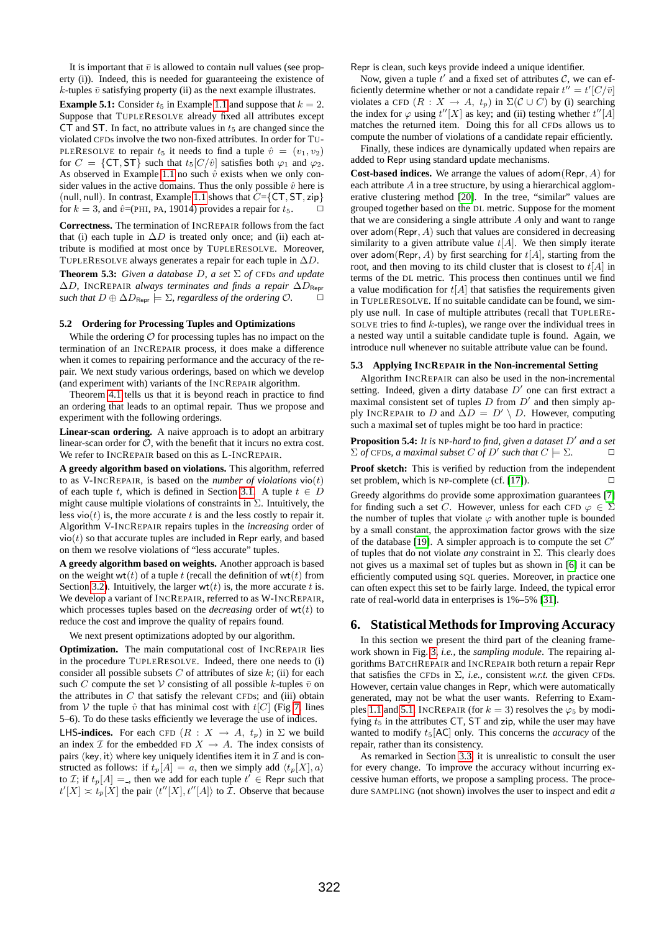It is important that  $\bar{v}$  is allowed to contain null values (see property (i)). Indeed, this is needed for guaranteeing the existence of  $k$ -tuples  $\bar{v}$  satisfying property (ii) as the next example illustrates.

<span id="page-7-2"></span>**Example 5.1:** Consider  $t_5$  in Example [1.1](#page-0-0) and suppose that  $k = 2$ . Suppose that TUPLERESOLVE already fixed all attributes except CT and ST. In fact, no attribute values in  $t<sub>5</sub>$  are changed since the violated CFDs involve the two non-fixed attributes. In order for TU-PLERESOLVE to repair  $t_5$  it needs to find a tuple  $\hat{v} = (v_1, v_2)$ for  $C = \{CT, ST\}$  such that  $t_5[C/\hat{v}]$  satisfies both  $\varphi_1$  and  $\varphi_2$ . As observed in Example [1.1](#page-0-0) no such  $\hat{v}$  exists when we only consider values in the active domains. Thus the only possible  $\hat{v}$  here is (null, null). In contrast, Example [1.1](#page-0-0) shows that  $C = \{CT, ST, zip\}$ for  $k = 3$ , and  $\hat{v}$ =(PHI, PA, 19014) provides a repair for  $t_5$ .

**Correctness.** The termination of INCREPAIR follows from the fact that (i) each tuple in  $\Delta D$  is treated only once; and (ii) each attribute is modified at most once by TUPLERESOLVE. Moreover, TUPLERESOLVE always generates a repair for each tuple in  $\Delta D$ .

**Theorem 5.3:** *Given a database* D*, a set* Σ *of* CFD*s and update* ∆D*,* INCREPAIR *always terminates and finds a repair* ∆DRepr *such that*  $D \oplus \Delta D_{\text{Reor}} \models \Sigma$ , *regardless of the ordering*  $\mathcal{O}$ *.* 

# <span id="page-7-0"></span>**5.2 Ordering for Processing Tuples and Optimizations**

While the ordering  $\mathcal O$  for processing tuples has no impact on the termination of an INCREPAIR process, it does make a difference when it comes to repairing performance and the accuracy of the repair. We next study various orderings, based on which we develop (and experiment with) variants of the INCREPAIR algorithm.

Theorem [4.1](#page-4-3) tells us that it is beyond reach in practice to find an ordering that leads to an optimal repair. Thus we propose and experiment with the following orderings.

**Linear-scan ordering.** A naive approach is to adopt an arbitrary linear-scan order for  $\mathcal{O}$ , with the benefit that it incurs no extra cost. We refer to INCREPAIR based on this as L-INCREPAIR.

**A greedy algorithm based on violations.** This algorithm, referred to as V-INCREPAIR, is based on the *number of violations* vio(t) of each tuple t, which is defined in Section [3.1.](#page-2-1) A tuple  $t \in D$ might cause multiple violations of constraints in  $\Sigma$ . Intuitively, the less vio( $t$ ) is, the more accurate  $t$  is and the less costly to repair it. Algorithm V-INCREPAIR repairs tuples in the *increasing* order of  $vio(t)$  so that accurate tuples are included in Repr early, and based on them we resolve violations of "less accurate" tuples.

**A greedy algorithm based on weights.** Another approach is based on the weight wt(t) of a tuple t (recall the definition of wt(t) from Section [3.2\)](#page-3-2). Intuitively, the larger  $wt(t)$  is, the more accurate t is. We develop a variant of INCREPAIR, referred to as W-INCREPAIR, which processes tuples based on the *decreasing* order of  $wt(t)$  to reduce the cost and improve the quality of repairs found.

We next present optimizations adopted by our algorithm.

**Optimization.** The main computational cost of INCREPAIR lies in the procedure TUPLERESOLVE. Indeed, there one needs to (i) consider all possible subsets  $C$  of attributes of size  $k$ ; (ii) for each such C compute the set V consisting of all possible k-tuples  $\bar{v}$  on the attributes in  $C$  that satisfy the relevant CFDs; and (iii) obtain from V the tuple  $\hat{v}$  that has minimal cost with  $t[C]$  (Fig [7,](#page-6-4) lines 5–6). To do these tasks efficiently we leverage the use of indices. **LHS-indices.** For each CFD  $(R : X \rightarrow A, t_p)$  in  $\Sigma$  we build an index  $\mathcal I$  for the embedded FD  $X \to A$ . The index consists of pairs  $\langle \text{key}, \text{it} \rangle$  where key uniquely identifies item it in  $\mathcal I$  and is constructed as follows: if  $t_p[A] = a$ , then we simply add  $\langle t_p[X], a \rangle$ to *I*; if  $t_p[A] =$ , then we add for each tuple  $t^i \in$  Repr such that  $t'[X] \asymp t_p[X]$  the pair  $\langle t''[X], t''[A] \rangle$  to  $\mathcal{I}$ . Observe that because

Repr is clean, such keys provide indeed a unique identifier.

Now, given a tuple  $t'$  and a fixed set of attributes  $C$ , we can efficiently determine whether or not a candidate repair  $t'' = t'[C/\bar{v}]$ violates a CFD  $(R : X \rightarrow A, t_p)$  in  $\Sigma(C \cup C)$  by (i) searching the index for  $\varphi$  using  $t''[X]$  as key; and (ii) testing whether  $t''[A]$ matches the returned item. Doing this for all CFDs allows us to compute the number of violations of a candidate repair efficiently.

Finally, these indices are dynamically updated when repairs are added to Repr using standard update mechanisms.

**Cost-based indices.** We arrange the values of adom(Repr, A) for each attribute  $A$  in a tree structure, by using a hierarchical agglomerative clustering method [\[20\]](#page-11-19). In the tree, "similar" values are grouped together based on the DL metric. Suppose for the moment that we are considering a single attribute  $A$  only and want to range over adom(Repr,  $A$ ) such that values are considered in decreasing similarity to a given attribute value  $t[A]$ . We then simply iterate over adom(Repr, A) by first searching for  $t[A]$ , starting from the root, and then moving to its child cluster that is closest to  $t[A]$  in terms of the DL metric. This process then continues until we find a value modification for  $t[A]$  that satisfies the requirements given in TUPLERESOLVE. If no suitable candidate can be found, we simply use null. In case of multiple attributes (recall that TUPLERE-SOLVE tries to find  $k$ -tuples), we range over the individual trees in a nested way until a suitable candidate tuple is found. Again, we introduce null whenever no suitable attribute value can be found.

#### <span id="page-7-1"></span>**5.3 Applying INCREPAIR in the Non-incremental Setting**

Algorithm INCREPAIR can also be used in the non-incremental setting. Indeed, given a dirty database  $D'$  one can first extract a maximal consistent set of tuples  $D$  from  $D'$  and then simply apply INCREPAIR to D and  $\Delta D = D' \setminus D$ . However, computing such a maximal set of tuples might be too hard in practice:

**Proposition 5.4:** It is NP-hard to find, given a dataset D' and a set  $\Sigma$  *of* CFD*s, a maximal subset C of D' such that*  $C \models \Sigma$ .

**Proof sketch:** This is verified by reduction from the independent set problem, which is NP-complete (cf. [\[17\]](#page-11-20)).  $\Box$ 

Greedy algorithms do provide some approximation guarantees [\[7\]](#page-11-21) for finding such a set C. However, unless for each CFD  $\varphi \in \Sigma$ the number of tuples that violate  $\varphi$  with another tuple is bounded by a small constant, the approximation factor grows with the size of the database [\[19\]](#page-11-22). A simpler approach is to compute the set  $C'$ of tuples that do not violate *any* constraint in Σ. This clearly does not gives us a maximal set of tuples but as shown in [\[6\]](#page-11-0) it can be efficiently computed using SQL queries. Moreover, in practice one can often expect this set to be fairly large. Indeed, the typical error rate of real-world data in enterprises is 1%–5% [\[31\]](#page-11-1).

## <span id="page-7-3"></span>**6. Statistical Methods for Improving Accuracy**

In this section we present the third part of the cleaning framework shown in Fig. [3,](#page-3-0) *i.e.,* the *sampling module*. The repairing algorithms BATCHREPAIR and INCREPAIR both return a repair Repr that satisfies the CFDs in  $\Sigma$ , *i.e.*, consistent *w.r.t.* the given CFDs. However, certain value changes in Repr, which were automatically generated, may not be what the user wants. Referring to Exam-ples [1.1](#page-0-0) and [5.1,](#page-7-2) INCREPAIR (for  $k = 3$ ) resolves the  $\varphi_5$  by modifying  $t<sub>5</sub>$  in the attributes CT, ST and zip, while the user may have wanted to modify  $t_5$ [AC] only. This concerns the *accuracy* of the repair, rather than its consistency.

As remarked in Section [3.3,](#page-3-1) it is unrealistic to consult the user for every change. To improve the accuracy without incurring excessive human efforts, we propose a sampling process. The procedure SAMPLING (not shown) involves the user to inspect and edit *a*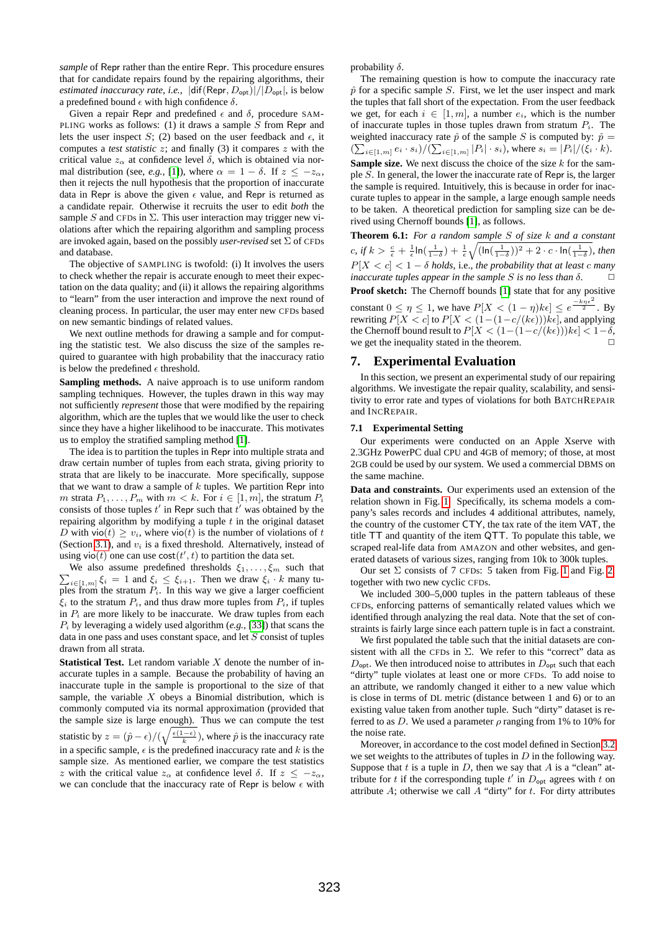*sample* of Repr rather than the entire Repr. This procedure ensures that for candidate repairs found by the repairing algorithms, their *estimated inaccuracy rate, i.e.,*  $|diff(Repr, D_{opt})|/|D_{opt}|$ , is below a predefined bound  $\epsilon$  with high confidence  $\delta$ .

Given a repair Repr and predefined  $\epsilon$  and  $\delta$ , procedure SAM-PLING works as follows: (1) it draws a sample  $S$  from Repr and lets the user inspect S; (2) based on the user feedback and  $\epsilon$ , it computes a *test statistic* z; and finally (3) it compares z with the critical value  $z_{\alpha}$  at confidence level  $\delta$ , which is obtained via normal distribution (see, *e.g.*, [\[1\]](#page-11-23)), where  $\alpha = 1 - \delta$ . If  $z \leq -z_{\alpha}$ , then it rejects the null hypothesis that the proportion of inaccurate data in Repr is above the given  $\epsilon$  value, and Repr is returned as a candidate repair. Otherwise it recruits the user to edit *both* the sample S and CFDs in  $\Sigma$ . This user interaction may trigger new violations after which the repairing algorithm and sampling process are invoked again, based on the possibly *user-revised* set Σ of CFDs and database.

The objective of SAMPLING is twofold: (i) It involves the users to check whether the repair is accurate enough to meet their expectation on the data quality; and (ii) it allows the repairing algorithms to "learn" from the user interaction and improve the next round of cleaning process. In particular, the user may enter new CFDs based on new semantic bindings of related values.

We next outline methods for drawing a sample and for computing the statistic test. We also discuss the size of the samples required to guarantee with high probability that the inaccuracy ratio is below the predefined  $\epsilon$  threshold.

**Sampling methods.** A naive approach is to use uniform random sampling techniques. However, the tuples drawn in this way may not sufficiently *represent* those that were modified by the repairing algorithm, which are the tuples that we would like the user to check since they have a higher likelihood to be inaccurate. This motivates us to employ the stratified sampling method [\[1\]](#page-11-23).

The idea is to partition the tuples in Repr into multiple strata and draw certain number of tuples from each strata, giving priority to strata that are likely to be inaccurate. More specifically, suppose that we want to draw a sample of  $k$  tuples. We partition Repr into m strata  $P_1, \ldots, P_m$  with  $m < k$ . For  $i \in [1, m]$ , the stratum  $P_i$ consists of those tuples  $t'$  in Repr such that  $t'$  was obtained by the repairing algorithm by modifying a tuple  $t$  in the original dataset D with vio(t)  $\ge v_i$ , where vio(t) is the number of violations of t (Section [3.1\)](#page-2-1), and  $v_i$  is a fixed threshold. Alternatively, instead of using vio(t) one can use  $cost(t', t)$  to partition the data set.

 $\sum_{i\in[1,m]}\xi_i = 1$  and  $\xi_i \leq \xi_{i+1}$ . Then we draw  $\xi_i \cdot k$  many tu-We also assume predefined thresholds  $\xi_1, \ldots, \xi_m$  such that ples from the stratum  $P_i$ . In this way we give a larger coefficient  $\xi_i$  to the stratum  $P_i$ , and thus draw more tuples from  $P_i$ , if tuples in  $P_i$  are more likely to be inaccurate. We draw tuples from each P<sup>i</sup> by leveraging a widely used algorithm (*e.g.,* [\[33\]](#page-11-24)) that scans the data in one pass and uses constant space, and let  $S$  consist of tuples drawn from all strata.

**Statistical Test.** Let random variable X denote the number of inaccurate tuples in a sample. Because the probability of having an inaccurate tuple in the sample is proportional to the size of that sample, the variable  $X$  obeys a Binomial distribution, which is commonly computed via its normal approximation (provided that the sample size is large enough). Thus we can compute the test statistic by  $z = (\hat{p} - \epsilon)/(\sqrt{\frac{\epsilon(1-\epsilon)}{k}})$ , where  $\hat{p}$  is the inaccuracy rate in a specific sample,  $\epsilon$  is the predefined inaccuracy rate and k is the sample size. As mentioned earlier, we compare the test statistics z with the critical value  $z_\alpha$  at confidence level  $\delta$ . If  $z \leq -z_\alpha$ , we can conclude that the inaccuracy rate of Repr is below  $\epsilon$  with probability  $\delta$ .

The remaining question is how to compute the inaccuracy rate  $\hat{p}$  for a specific sample S. First, we let the user inspect and mark the tuples that fall short of the expectation. From the user feedback we get, for each  $i \in [1, m]$ , a number  $e_i$ , which is the number of inaccurate tuples in those tuples drawn from stratum  $P_i$ . The weighted inaccuracy rate  $\hat{p}$  of the sample S is computed by:  $\hat{p} =$  $(\sum_{i \in [1,m]} e_i \cdot s_i) / (\sum_{i \in [1,m]} |P_i| \cdot s_i)$ , where  $s_i = |P_i| / (\xi_i \cdot k)$ . **Sample size.** We next discuss the choice of the size  $k$  for the sample S. In general, the lower the inaccurate rate of Repr is, the larger the sample is required. Intuitively, this is because in order for inaccurate tuples to appear in the sample, a large enough sample needs to be taken. A theoretical prediction for sampling size can be derived using Chernoff bounds [\[1\]](#page-11-23), as follows.

**Theorem 6.1:** *For a random sample* S *of size* k *and a constant*  $c, \text{ if } k > \frac{c}{\epsilon} + \frac{1}{\epsilon} \ln(\frac{1}{1-\delta}) + \frac{1}{\epsilon} \sqrt{(\ln(\frac{1}{1-\delta}))^2 + 2 \cdot c \cdot \ln(\frac{1}{1-\delta})}$ , then  $P[X < c] < 1 - \delta$  *holds, i.e., the probability that at least* c *many inaccurate tuples appear in the sample*  $S$  *is no less than*  $\delta$ .  $\Box$ 

**Proof sketch:** The Chernoff bounds [\[1\]](#page-11-23) state that for any positive constant  $0 \le \eta \le 1$ , we have  $P[X < (1 - \eta)k\epsilon] \le e^{\frac{-k\eta\epsilon^2}{2}}$ . By rewriting  $P[X < c]$  to  $P[X < (1 - (1 - c/(k\epsilon)))k\epsilon]$ , and applying the Chernoff bound result to  $P[X < (1-(1-c/(k\epsilon)))k\epsilon] < 1-\delta$ , we get the inequality stated in the theorem.

# **7. Experimental Evaluation**

In this section, we present an experimental study of our repairing algorithms. We investigate the repair quality, scalability, and sensitivity to error rate and types of violations for both BATCHREPAIR and INCREPAIR.

# **7.1 Experimental Setting**

Our experiments were conducted on an Apple Xserve with 2.3GHz PowerPC dual CPU and 4GB of memory; of those, at most 2GB could be used by our system. We used a commercial DBMS on the same machine.

**Data and constraints.** Our experiments used an extension of the relation shown in Fig. [1.](#page-1-2) Specifically, its schema models a company's sales records and includes 4 additional attributes, namely, the country of the customer CTY, the tax rate of the item VAT, the title TT and quantity of the item QTT. To populate this table, we scraped real-life data from AMAZON and other websites, and generated datasets of various sizes, ranging from 10k to 300k tuples.

Our set  $\Sigma$  consists of 7 CFDs: 5 taken from Fig. [1](#page-1-2) and Fig. [2,](#page-2-0) together with two new cyclic CFDs.

We included 300–5,000 tuples in the pattern tableaus of these CFDs, enforcing patterns of semantically related values which we identified through analyzing the real data. Note that the set of constraints is fairly large since each pattern tuple is in fact a constraint.

We first populated the table such that the initial datasets are consistent with all the CFDs in  $\Sigma$ . We refer to this "correct" data as  $D_{\text{opt}}$ . We then introduced noise to attributes in  $D_{\text{opt}}$  such that each "dirty" tuple violates at least one or more CFDs. To add noise to an attribute, we randomly changed it either to a new value which is close in terms of DL metric (distance between 1 and 6) or to an existing value taken from another tuple. Such "dirty" dataset is referred to as D. We used a parameter  $\rho$  ranging from 1% to 10% for the noise rate.

Moreover, in accordance to the cost model defined in Section [3.2](#page-3-2) we set weights to the attributes of tuples in  $D$  in the following way. Suppose that  $t$  is a tuple in  $D$ , then we say that  $A$  is a "clean" attribute for t if the corresponding tuple  $t'$  in  $D_{\text{opt}}$  agrees with t on attribute  $A$ ; otherwise we call  $A$  "dirty" for  $t$ . For dirty attributes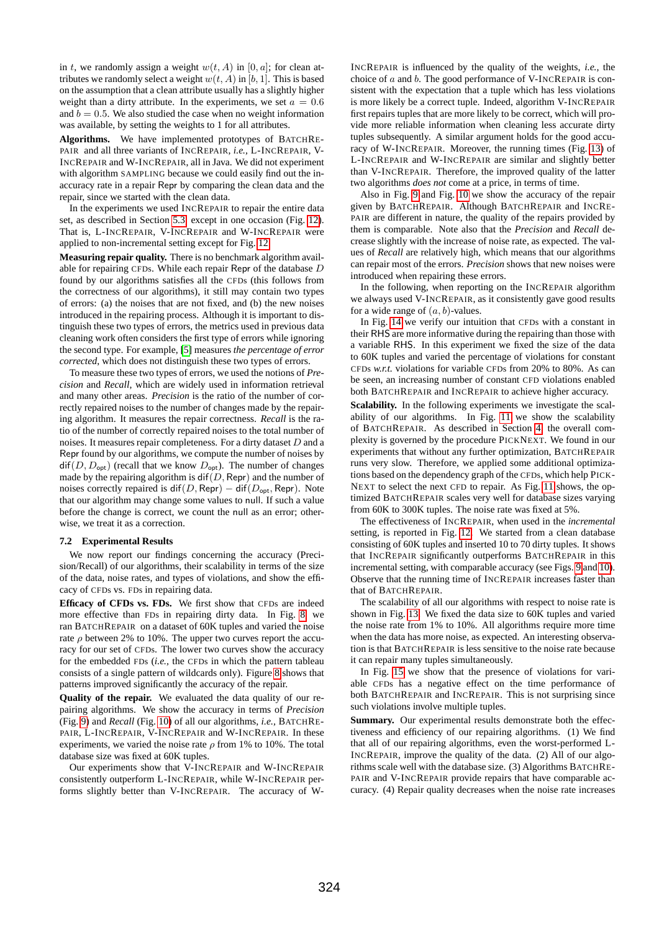in t, we randomly assign a weight  $w(t, A)$  in [0, a]; for clean attributes we randomly select a weight  $w(t, A)$  in [b, 1]. This is based on the assumption that a clean attribute usually has a slightly higher weight than a dirty attribute. In the experiments, we set  $a = 0.6$ and  $b = 0.5$ . We also studied the case when no weight information was available, by setting the weights to 1 for all attributes.

**Algorithms.** We have implemented prototypes of BATCHRE-PAIR and all three variants of INCREPAIR, *i.e.,* L-INCREPAIR, V-INCREPAIR and W-INCREPAIR, all in Java. We did not experiment with algorithm SAMPLING because we could easily find out the inaccuracy rate in a repair Repr by comparing the clean data and the repair, since we started with the clean data.

In the experiments we used INCREPAIR to repair the entire data set, as described in Section [5.3,](#page-7-1) except in one occasion (Fig. [12\)](#page-10-0). That is, L-INCREPAIR, V-INCREPAIR and W-INCREPAIR were applied to non-incremental setting except for Fig. [12.](#page-10-0)

**Measuring repair quality.** There is no benchmark algorithm available for repairing CFDs. While each repair Repr of the database D found by our algorithms satisfies all the CFDs (this follows from the correctness of our algorithms), it still may contain two types of errors: (a) the noises that are not fixed, and (b) the new noises introduced in the repairing process. Although it is important to distinguish these two types of errors, the metrics used in previous data cleaning work often considers the first type of errors while ignoring the second type. For example, [\[5\]](#page-11-7) measures *the percentage of error corrected*, which does not distinguish these two types of errors.

To measure these two types of errors, we used the notions of *Precision* and *Recall*, which are widely used in information retrieval and many other areas. *Precision* is the ratio of the number of correctly repaired noises to the number of changes made by the repairing algorithm. It measures the repair correctness. *Recall* is the ratio of the number of correctly repaired noises to the total number of noises. It measures repair completeness. For a dirty dataset D and a Repr found by our algorithms, we compute the number of noises by  $diff(D, D_{opt})$  (recall that we know  $D_{opt}$ ). The number of changes made by the repairing algorithm is  $\text{dif}(D, \text{Repr})$  and the number of noises correctly repaired is dif(D, Repr) – dif( $D_{\text{opt}}$ , Repr). Note that our algorithm may change some values to null. If such a value before the change is correct, we count the null as an error; otherwise, we treat it as a correction.

## **7.2 Experimental Results**

We now report our findings concerning the accuracy (Precision/Recall) of our algorithms, their scalability in terms of the size of the data, noise rates, and types of violations, and show the efficacy of CFDs vs. FDs in repairing data.

**Efficacy of CFDs vs. FDs.** We first show that CFDs are indeed more effective than FDs in repairing dirty data. In Fig. [8,](#page-10-1) we ran BATCHREPAIR on a dataset of 60K tuples and varied the noise rate  $\rho$  between 2% to 10%. The upper two curves report the accuracy for our set of CFDs. The lower two curves show the accuracy for the embedded FDs (*i.e.,* the CFDs in which the pattern tableau consists of a single pattern of wildcards only). Figure [8](#page-10-1) shows that patterns improved significantly the accuracy of the repair.

**Quality of the repair.** We evaluated the data quality of our repairing algorithms. We show the accuracy in terms of *Precision* (Fig. [9\)](#page-10-2) and *Recall* (Fig. [10\)](#page-10-3) of all our algorithms, *i.e.,* BATCHRE-PAIR, L-INCREPAIR, V-INCREPAIR and W-INCREPAIR. In these experiments, we varied the noise rate  $\rho$  from 1% to 10%. The total database size was fixed at 60K tuples.

Our experiments show that V-INCREPAIR and W-INCREPAIR consistently outperform L-INCREPAIR, while W-INCREPAIR performs slightly better than V-INCREPAIR. The accuracy of W-

INCREPAIR is influenced by the quality of the weights, *i.e.,* the choice of  $a$  and  $b$ . The good performance of V-INCREPAIR is consistent with the expectation that a tuple which has less violations is more likely be a correct tuple. Indeed, algorithm V-INCREPAIR first repairs tuples that are more likely to be correct, which will provide more reliable information when cleaning less accurate dirty tuples subsequently. A similar argument holds for the good accuracy of W-INCREPAIR. Moreover, the running times (Fig. [13\)](#page-10-4) of L-INCREPAIR and W-INCREPAIR are similar and slightly better than V-INCREPAIR. Therefore, the improved quality of the latter two algorithms *does not* come at a price, in terms of time.

Also in Fig. [9](#page-10-2) and Fig. [10](#page-10-3) we show the accuracy of the repair given by BATCHREPAIR. Although BATCHREPAIR and INCRE-PAIR are different in nature, the quality of the repairs provided by them is comparable. Note also that the *Precision* and *Recall* decrease slightly with the increase of noise rate, as expected. The values of *Recall* are relatively high, which means that our algorithms can repair most of the errors. *Precision* shows that new noises were introduced when repairing these errors.

In the following, when reporting on the INCREPAIR algorithm we always used V-INCREPAIR, as it consistently gave good results for a wide range of  $(a, b)$ -values.

In Fig. [14](#page-11-25) we verify our intuition that CFDs with a constant in their RHS are more informative during the repairing than those with a variable RHS. In this experiment we fixed the size of the data to 60K tuples and varied the percentage of violations for constant CFDs *w.r.t.* violations for variable CFDs from 20% to 80%. As can be seen, an increasing number of constant CFD violations enabled both BATCHREPAIR and INCREPAIR to achieve higher accuracy.

**Scalability.** In the following experiments we investigate the scalability of our algorithms. In Fig. [11](#page-10-5) we show the scalability of BATCHREPAIR. As described in Section [4,](#page-4-4) the overall complexity is governed by the procedure PICKNEXT. We found in our experiments that without any further optimization, BATCHREPAIR runs very slow. Therefore, we applied some additional optimizations based on the dependency graph of the CFDs, which help PICK-NEXT to select the next CFD to repair. As Fig. [11](#page-10-5) shows, the optimized BATCHREPAIR scales very well for database sizes varying from 60K to 300K tuples. The noise rate was fixed at 5%.

The effectiveness of INCREPAIR, when used in the *incremental* setting, is reported in Fig. [12.](#page-10-0) We started from a clean database consisting of 60K tuples and inserted 10 to 70 dirty tuples. It shows that INCREPAIR significantly outperforms BATCHREPAIR in this incremental setting, with comparable accuracy (see Figs. [9](#page-10-2) and [10\)](#page-10-3). Observe that the running time of INCREPAIR increases faster than that of BATCHREPAIR.

The scalability of all our algorithms with respect to noise rate is shown in Fig. [13.](#page-10-4) We fixed the data size to 60K tuples and varied the noise rate from 1% to 10%. All algorithms require more time when the data has more noise, as expected. An interesting observation is that BATCHREPAIR is less sensitive to the noise rate because it can repair many tuples simultaneously.

In Fig. [15](#page-11-26) we show that the presence of violations for variable CFDs has a negative effect on the time performance of both BATCHREPAIR and INCREPAIR. This is not surprising since such violations involve multiple tuples.

**Summary.** Our experimental results demonstrate both the effectiveness and efficiency of our repairing algorithms. (1) We find that all of our repairing algorithms, even the worst-performed L-INCREPAIR, improve the quality of the data. (2) All of our algorithms scale well with the database size. (3) Algorithms BATCHRE-PAIR and V-INCREPAIR provide repairs that have comparable accuracy. (4) Repair quality decreases when the noise rate increases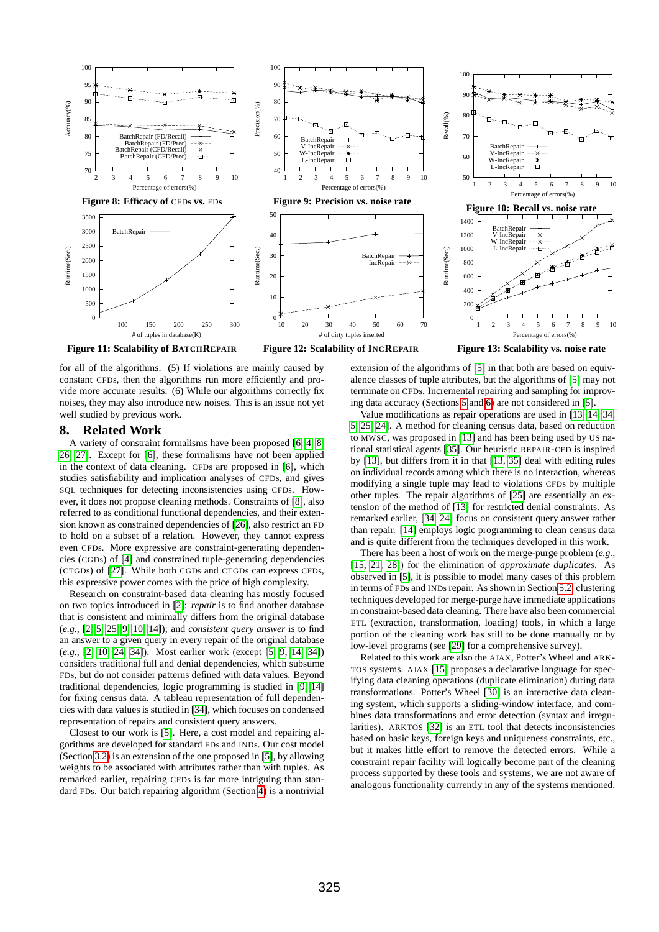<span id="page-10-1"></span>

<span id="page-10-5"></span>for all of the algorithms. (5) If violations are mainly caused by constant CFDs, then the algorithms run more efficiently and provide more accurate results. (6) While our algorithms correctly fix noises, they may also introduce new noises. This is an issue not yet well studied by previous work.

# **8. Related Work**

A variety of constraint formalisms have been proposed [\[6,](#page-11-0) [4,](#page-11-27) [8,](#page-11-28) [26,](#page-11-29) [27\]](#page-11-30). Except for [\[6\]](#page-11-0), these formalisms have not been applied in the context of data cleaning. CFDs are proposed in [\[6\]](#page-11-0), which studies satisfiability and implication analyses of CFDs, and gives SQL techniques for detecting inconsistencies using CFDs. However, it does not propose cleaning methods. Constraints of [\[8\]](#page-11-28), also referred to as conditional functional dependencies, and their extension known as constrained dependencies of [\[26\]](#page-11-29), also restrict an FD to hold on a subset of a relation. However, they cannot express even CFDs. More expressive are constraint-generating dependencies (CGDs) of [\[4\]](#page-11-27) and constrained tuple-generating dependencies (CTGDs) of [\[27\]](#page-11-30). While both CGDs and CTGDs can express CFDs, this expressive power comes with the price of high complexity.

Research on constraint-based data cleaning has mostly focused on two topics introduced in [\[2\]](#page-11-3): *repair* is to find another database that is consistent and minimally differs from the original database (*e.g.,* [\[2,](#page-11-3) [5,](#page-11-7) [25,](#page-11-8) [9,](#page-11-31) [10,](#page-11-9) [14\]](#page-11-10)); and *consistent query answer* is to find an answer to a given query in every repair of the original database (*e.g.,* [\[2,](#page-11-3) [10,](#page-11-9) [24,](#page-11-14) [34\]](#page-11-11)). Most earlier work (except [\[5,](#page-11-7) [9,](#page-11-31) [14,](#page-11-10) [34\]](#page-11-11)) considers traditional full and denial dependencies, which subsume FDs, but do not consider patterns defined with data values. Beyond traditional dependencies, logic programming is studied in [\[9,](#page-11-31) [14\]](#page-11-10) for fixing census data. A tableau representation of full dependencies with data values is studied in [\[34\]](#page-11-11), which focuses on condensed representation of repairs and consistent query answers.

Closest to our work is [\[5\]](#page-11-7). Here, a cost model and repairing algorithms are developed for standard FDs and INDs. Our cost model (Section [3.2\)](#page-3-2) is an extension of the one proposed in [\[5\]](#page-11-7), by allowing weights to be associated with attributes rather than with tuples. As remarked earlier, repairing CFDs is far more intriguing than standard FDs. Our batch repairing algorithm (Section [4\)](#page-4-4) is a nontrivial

<span id="page-10-4"></span><span id="page-10-3"></span><span id="page-10-2"></span><span id="page-10-0"></span>extension of the algorithms of [\[5\]](#page-11-7) in that both are based on equivalence classes of tuple attributes, but the algorithms of [\[5\]](#page-11-7) may not terminate on CFDs. Incremental repairing and sampling for improving data accuracy (Sections [5](#page-5-2) and [6\)](#page-7-3) are not considered in [\[5\]](#page-11-7).

Value modifications as repair operations are used in [\[13,](#page-11-5) [14,](#page-11-10) [34,](#page-11-11) [5,](#page-11-7) [25,](#page-11-8) [24\]](#page-11-14). A method for cleaning census data, based on reduction to MWSC, was proposed in [\[13\]](#page-11-5) and has been being used by US national statistical agents [\[35\]](#page-11-6). Our heuristic REPAIR-CFD is inspired by [\[13\]](#page-11-5), but differs from it in that [\[13,](#page-11-5) [35\]](#page-11-6) deal with editing rules on individual records among which there is no interaction, whereas modifying a single tuple may lead to violations CFDs by multiple other tuples. The repair algorithms of [\[25\]](#page-11-8) are essentially an extension of the method of [\[13\]](#page-11-5) for restricted denial constraints. As remarked earlier, [\[34,](#page-11-11) [24\]](#page-11-14) focus on consistent query answer rather than repair. [\[14\]](#page-11-10) employs logic programming to clean census data and is quite different from the techniques developed in this work.

There has been a host of work on the merge-purge problem (*e.g.,* [\[15,](#page-11-32) [21,](#page-11-33) [28\]](#page-11-34)) for the elimination of *approximate duplicates*. As observed in [\[5\]](#page-11-7), it is possible to model many cases of this problem in terms of FDs and INDs repair. As shown in Section [5.2,](#page-7-0) clustering techniques developed for merge-purge have immediate applications in constraint-based data cleaning. There have also been commercial ETL (extraction, transformation, loading) tools, in which a large portion of the cleaning work has still to be done manually or by low-level programs (see [\[29\]](#page-11-4) for a comprehensive survey).

Related to this work are also the AJAX, Potter's Wheel and ARK-TOS systems. AJAX [\[15\]](#page-11-32) proposes a declarative language for specifying data cleaning operations (duplicate elimination) during data transformations. Potter's Wheel [\[30\]](#page-11-35) is an interactive data cleaning system, which supports a sliding-window interface, and combines data transformations and error detection (syntax and irregularities). ARKTOS [\[32\]](#page-11-36) is an ETL tool that detects inconsistencies based on basic keys, foreign keys and uniqueness constraints, etc., but it makes little effort to remove the detected errors. While a constraint repair facility will logically become part of the cleaning process supported by these tools and systems, we are not aware of analogous functionality currently in any of the systems mentioned.